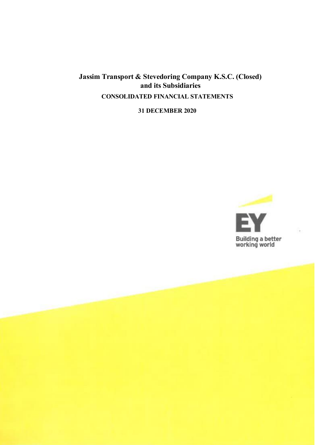## **Jassim Transport & Stevedoring Company K.S.C. (Closed) and its Subsidiaries CONSOLIDATED FINANCIAL STATEMENTS**

**31 DECEMBER 2020**

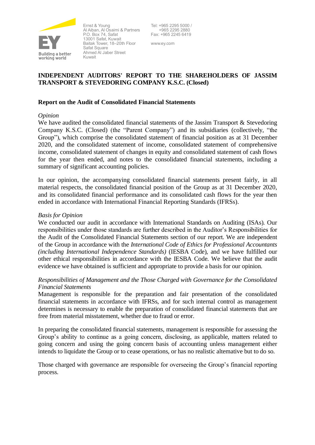

Ernst & Young Al Aiban, Al Osaimi & Partners P.O. Box 74, Safat 13001 Safat, Kuwait Baitak Tower, 18–20th Floor Safat Square Ahmed Al Jaber Street Kuwait

Tel: +965 2295 5000 / +965 2295 2880 Fax: +965 2245 6419

www.ey.com

## **INDEPENDENT AUDITORS' REPORT TO THE SHAREHOLDERS OF JASSIM TRANSPORT & STEVEDORING COMPANY K.S.C. (Closed)**

## **Report on the Audit of Consolidated Financial Statements**

#### *Opinion*

We have audited the consolidated financial statements of the Jassim Transport & Stevedoring Company K.S.C. (Closed) (the "Parent Company") and its subsidiaries (collectively, "the Group"), which comprise the consolidated statement of financial position as at 31 December 2020, and the consolidated statement of income, consolidated statement of comprehensive income, consolidated statement of changes in equity and consolidated statement of cash flows for the year then ended, and notes to the consolidated financial statements, including a summary of significant accounting policies.

In our opinion, the accompanying consolidated financial statements present fairly, in all material respects, the consolidated financial position of the Group as at 31 December 2020, and its consolidated financial performance and its consolidated cash flows for the year then ended in accordance with International Financial Reporting Standards (IFRSs).

### *Basis for Opinion*

We conducted our audit in accordance with International Standards on Auditing (ISAs). Our responsibilities under those standards are further described in the Auditor's Responsibilities for the Audit of the Consolidated Financial Statements section of our report. We are independent of the Group in accordance with the *International Code of Ethics for Professional Accountants (including International Independence Standards)* (IESBA Code), and we have fulfilled our other ethical responsibilities in accordance with the IESBA Code. We believe that the audit evidence we have obtained is sufficient and appropriate to provide a basis for our opinion.

### *Responsibilities of Management and the Those Charged with Governance for the Consolidated Financial Statements*

Management is responsible for the preparation and fair presentation of the consolidated financial statements in accordance with IFRSs, and for such internal control as management determines is necessary to enable the preparation of consolidated financial statements that are free from material misstatement, whether due to fraud or error.

In preparing the consolidated financial statements, management is responsible for assessing the Group's ability to continue as a going concern, disclosing, as applicable, matters related to going concern and using the going concern basis of accounting unless management either intends to liquidate the Group or to cease operations, or has no realistic alternative but to do so.

Those charged with governance are responsible for overseeing the Group's financial reporting process.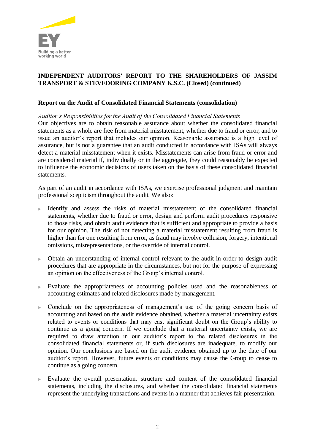

## **INDEPENDENT AUDITORS' REPORT TO THE SHAREHOLDERS OF JASSIM TRANSPORT & STEVEDORING COMPANY K.S.C. (Closed) (continued)**

### **Report on the Audit of Consolidated Financial Statements (consolidation)**

### *Auditor's Responsibilities for the Audit of the Consolidated Financial Statements*

Our objectives are to obtain reasonable assurance about whether the consolidated financial statements as a whole are free from material misstatement, whether due to fraud or error, and to issue an auditor's report that includes our opinion. Reasonable assurance is a high level of assurance, but is not a guarantee that an audit conducted in accordance with ISAs will always detect a material misstatement when it exists. Misstatements can arise from fraud or error and are considered material if, individually or in the aggregate, they could reasonably be expected to influence the economic decisions of users taken on the basis of these consolidated financial statements.

As part of an audit in accordance with ISAs, we exercise professional judgment and maintain professional scepticism throughout the audit. We also:

- $\blacktriangleright$  Identify and assess the risks of material misstatement of the consolidated financial statements, whether due to fraud or error, design and perform audit procedures responsive to those risks, and obtain audit evidence that is sufficient and appropriate to provide a basis for our opinion. The risk of not detecting a material misstatement resulting from fraud is higher than for one resulting from error, as fraud may involve collusion, forgery, intentional omissions, misrepresentations, or the override of internal control.
- Obtain an understanding of internal control relevant to the audit in order to design audit procedures that are appropriate in the circumstances, but not for the purpose of expressing an opinion on the effectiveness of the Group's internal control.
- Evaluate the appropriateness of accounting policies used and the reasonableness of accounting estimates and related disclosures made by management.
- Conclude on the appropriateness of management's use of the going concern basis of accounting and based on the audit evidence obtained, whether a material uncertainty exists related to events or conditions that may cast significant doubt on the Group's ability to continue as a going concern. If we conclude that a material uncertainty exists, we are required to draw attention in our auditor's report to the related disclosures in the consolidated financial statements or, if such disclosures are inadequate, to modify our opinion. Our conclusions are based on the audit evidence obtained up to the date of our auditor's report. However, future events or conditions may cause the Group to cease to continue as a going concern.
- $\triangleright$  Evaluate the overall presentation, structure and content of the consolidated financial statements, including the disclosures, and whether the consolidated financial statements represent the underlying transactions and events in a manner that achieves fair presentation.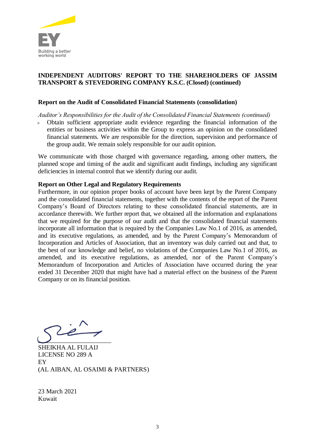

## **INDEPENDENT AUDITORS' REPORT TO THE SHAREHOLDERS OF JASSIM TRANSPORT & STEVEDORING COMPANY K.S.C. (Closed) (continued)**

### **Report on the Audit of Consolidated Financial Statements (consolidation)**

*Auditor's Responsibilities for the Audit of the Consolidated Financial Statements (continued)*

 Obtain sufficient appropriate audit evidence regarding the financial information of the entities or business activities within the Group to express an opinion on the consolidated financial statements. We are responsible for the direction, supervision and performance of the group audit. We remain solely responsible for our audit opinion.

We communicate with those charged with governance regarding, among other matters, the planned scope and timing of the audit and significant audit findings, including any significant deficiencies in internal control that we identify during our audit.

#### **Report on Other Legal and Regulatory Requirements**

Furthermore, in our opinion proper books of account have been kept by the Parent Company and the consolidated financial statements, together with the contents of the report of the Parent Company's Board of Directors relating to these consolidated financial statements, are in accordance therewith. We further report that, we obtained all the information and explanations that we required for the purpose of our audit and that the consolidated financial statements incorporate all information that is required by the Companies Law No.1 of 2016, as amended, and its executive regulations, as amended, and by the Parent Company's Memorandum of Incorporation and Articles of Association, that an inventory was duly carried out and that, to the best of our knowledge and belief, no violations of the Companies Law No.1 of 2016, as amended, and its executive regulations, as amended, nor of the Parent Company's Memorandum of Incorporation and Articles of Association have occurred during the year ended 31 December 2020 that might have had a material effect on the business of the Parent Company or on its financial position.

 $\cup$   $\blacksquare$ 

SHEIKHA AL FULAIJ LICENSE NO 289 A EY (AL AIBAN, AL OSAIMI & PARTNERS)

23 March 2021 Kuwait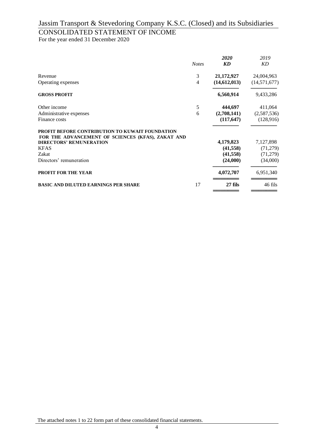# Jassim Transport & Stevedoring Company K.S.C. (Closed) and its Subsidiaries

# CONSOLIDATED STATEMENT OF INCOME

For the year ended 31 December 2020

|                                                                                                             | <b>Notes</b>   | 2020<br>KD   | 2019<br>KD   |
|-------------------------------------------------------------------------------------------------------------|----------------|--------------|--------------|
| Revenue                                                                                                     | 3              | 21,172,927   | 24,004,963   |
| Operating expenses                                                                                          | $\overline{4}$ | (14,612,013) | (14,571,677) |
| <b>GROSS PROFIT</b>                                                                                         |                | 6,560,914    | 9,433,286    |
| Other income                                                                                                | 5              | 444,697      | 411,064      |
| Administrative expenses                                                                                     | 6              | (2,708,141)  | (2,587,536)  |
| Finance costs                                                                                               |                | (117, 647)   | (128, 916)   |
| <b>PROFIT BEFORE CONTRIBUTION TO KUWAIT FOUNDATION</b><br>FOR THE ADVANCEMENT OF SCIENCES (KFAS), ZAKAT AND |                |              |              |
| <b>DIRECTORS' REMUNERATION</b>                                                                              |                | 4,179,823    | 7,127,898    |
| <b>KFAS</b>                                                                                                 |                | (41, 558)    | (71, 279)    |
| Zakat                                                                                                       |                | (41, 558)    | (71, 279)    |
| Directors' remuneration                                                                                     |                | (24,000)     | (34,000)     |
| <b>PROFIT FOR THE YEAR</b>                                                                                  |                | 4,072,707    | 6,951,340    |
| <b>BASIC AND DILUTED EARNINGS PER SHARE</b>                                                                 | 17             | 27 fils      | 46 fils      |
|                                                                                                             |                |              |              |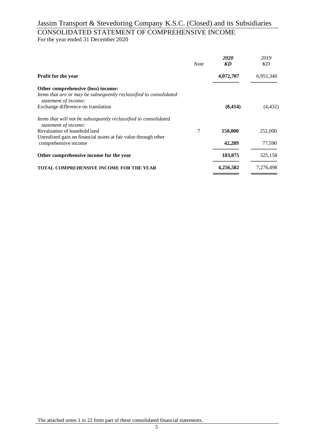## Jassim Transport & Stevedoring Company K.S.C. (Closed) and its Subsidiaries CONSOLIDATED STATEMENT OF COMPREHENSIVE INCOME For the year ended 31 December 2020

|                                                                                            | <b>Note</b> | 2020<br><b>KD</b> | 2019<br>KD |
|--------------------------------------------------------------------------------------------|-------------|-------------------|------------|
| <b>Profit for the year</b>                                                                 |             | 4,072,707         | 6,951,340  |
| Other comprehensive (loss) income:                                                         |             |                   |            |
| Items that are or may be subsequently reclassified to consolidated<br>statement of income: |             |                   |            |
| Exchange difference on translation                                                         |             | (8, 414)          | (4, 432)   |
| Items that will not be subsequently reclassified to consolidated<br>statement of income:   |             |                   |            |
| Revaluation of leasehold land                                                              |             | 150,000           | 252,000    |
| Unrealized gain on financial assets at fair value through other<br>comprehensive income    |             | 42,289            | 77,590     |
| Other comprehensive income for the year                                                    |             | 183,875           | 325,158    |
| <b>TOTAL COMPREHENSIVE INCOME FOR THE YEAR</b>                                             |             | 4,256,582         | 7,276,498  |
|                                                                                            |             |                   |            |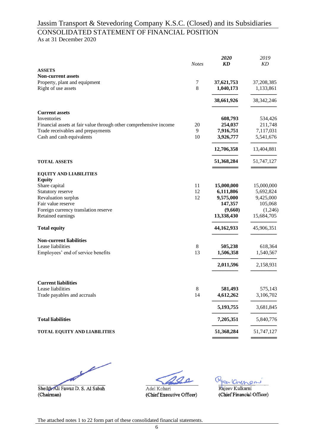## Jassim Transport & Stevedoring Company K.S.C. (Closed) and its Subsidiaries CONSOLIDATED STATEMENT OF FINANCIAL POSITION As at 31 December 2020

|                                                                   | <b>Notes</b> | 2020<br><b>KD</b>       | 2019<br>KD              |
|-------------------------------------------------------------------|--------------|-------------------------|-------------------------|
| <b>ASSETS</b>                                                     |              |                         |                         |
| <b>Non-current assets</b>                                         |              |                         |                         |
| Property, plant and equipment<br>Right of use assets              | $\tau$<br>8  | 37,621,753<br>1,040,173 | 37,208,385<br>1,133,861 |
|                                                                   |              |                         |                         |
|                                                                   |              | 38,661,926              | 38, 342, 246            |
| <b>Current assets</b>                                             |              |                         |                         |
| Inventories                                                       |              | 608,793                 | 534,426                 |
| Financial assets at fair value through other comprehensive income | 20           | 254,037                 | 211,748                 |
| Trade receivables and prepayments                                 | 9            | 7,916,751               | 7,117,031               |
| Cash and cash equivalents                                         | 10           | 3,926,777               | 5,541,676               |
|                                                                   |              | 12,706,358              | 13,404,881              |
| <b>TOTAL ASSETS</b>                                               |              | 51,368,284              | 51,747,127              |
| <b>EQUITY AND LIABILITIES</b>                                     |              |                         |                         |
| <b>Equity</b>                                                     |              |                         |                         |
| Share capital                                                     | 11           | 15,000,000              | 15,000,000              |
| Statutory reserve                                                 | 12           | 6,111,806               | 5,692,824               |
| Revaluation surplus                                               | 12           | 9,575,000               | 9,425,000               |
| Fair value reserve                                                |              | 147,357                 | 105,068                 |
| Foreign currency translation reserve                              |              | (9,660)                 | (1,246)                 |
| Retained earnings                                                 |              | 13,338,430              | 15,684,705              |
| <b>Total equity</b>                                               |              | 44,162,933              | 45,906,351              |
| <b>Non-current liabilities</b>                                    |              |                         |                         |
| Lease liabilities                                                 | $\,8$        | 505,238                 | 618,364                 |
| Employees' end of service benefits                                | 13           | 1,506,358               | 1,540,567               |
|                                                                   |              | 2,011,596               | 2,158,931               |
| <b>Current liabilities</b>                                        |              |                         |                         |
| Lease liabilities                                                 | 8            | 581,493                 | 575,143                 |
| Trade payables and accruals                                       | 14           | 4,612,262               | 3,106,702               |
|                                                                   |              | 5,193,755               | 3,681,845               |
| <b>Total liabilities</b>                                          |              | 7,205,351               | 5,840,776               |
| <b>TOTAL EQUITY AND LIABILITIES</b>                               |              | 51,368,284              | 51,747,127              |
|                                                                   |              |                         |                         |

 $\overline{\phantom{a}}$ 

Sheikh Ali Fawaz D. S. Al Sabah (Chairman)

Adel Kohari (Chief Executive Officer)

Orjeen Komman Rajeev Kulkarni

(Chief Financial Officer)

The attached notes 1 to 22 form part of these consolidated financial statements.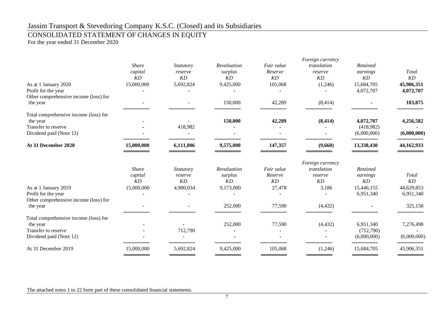## Jassim Transport & Stevedoring Company K.S.C. (Closed) and its Subsidiaries

## CONSOLIDATED STATEMENT OF CHANGES IN EQUITY

For the year ended 31 December 2020

|                                                              |                        |                            |                              |                             | Foreign currency             |                            |             |
|--------------------------------------------------------------|------------------------|----------------------------|------------------------------|-----------------------------|------------------------------|----------------------------|-------------|
|                                                              | Share<br>capital<br>KD | Statutory<br>reserve<br>KD | Revaluation<br>surplus<br>KD | Fair value<br>Reserve<br>KD | translation<br>reserve<br>KD | Retained<br>earnings<br>KD | Total<br>KD |
| As at 1 January 2020                                         | 15,000,000             | 5,692,824                  | 9,425,000                    | 105,068                     | (1,246)                      | 15,684,705                 | 45,906,351  |
| Profit for the year<br>Other comprehensive income (loss) for |                        |                            |                              |                             |                              | 4,072,707                  | 4,072,707   |
| the year                                                     |                        |                            | 150,000                      | 42,289                      | (8, 414)                     |                            | 183,875     |
| Total comprehensive income (loss) for<br>the year            |                        |                            | 150,000                      | 42,289                      | (8, 414)                     | 4,072,707                  | 4,256,582   |
| Transfer to reserve                                          |                        | 418,982                    |                              |                             |                              | (418,982)                  |             |
| Dividend paid (Note 12)                                      |                        |                            |                              |                             |                              | (6,000,000)                | (6,000,000) |
| At 31 December 2020                                          | 15,000,000             | 6,111,806                  | 9,575,000                    | 147,357                     | (9,660)                      | 13,338,430                 | 44,162,933  |
|                                                              |                        |                            |                              |                             | Foreign currency             |                            |             |
|                                                              | <b>Share</b>           | <i>Statutory</i>           | Revaluation                  | Fair value                  | translation                  | Retained                   |             |
|                                                              | capital                | reserve                    | surplus                      | Reserve                     | reserve                      | earnings                   | Total       |
|                                                              | KD                     | KD                         | KD                           | KD                          | KD                           | KD                         | KD          |
| As at 1 January 2019                                         | 15,000,000             | 4,980,034                  | 9,173,000                    | 27,478                      | 3,186                        | 15,446,155                 | 44,629,853  |
| Profit for the year<br>Other comprehensive income (loss) for |                        |                            |                              |                             |                              | 6,951,340                  | 6,951,340   |
| the year                                                     |                        |                            | 252,000                      | 77,590                      | (4, 432)                     |                            | 325,158     |
| Total comprehensive income (loss) for                        |                        |                            |                              |                             |                              |                            |             |
| the year                                                     |                        |                            | 252,000                      | 77,590                      | (4, 432)                     | 6,951,340                  | 7,276,498   |
| Transfer to reserve                                          |                        | 712,790                    |                              |                             |                              | (712,790)                  |             |
| Dividend paid (Note 12)                                      |                        |                            |                              |                             |                              | (6,000,000)                | (6,000,000) |
| At 31 December 2019                                          | 15,000,000             | 5,692,824                  | 9,425,000                    | 105,068                     | (1,246)                      | 15,684,705                 | 45,906,351  |
|                                                              |                        |                            |                              |                             |                              |                            |             |

The attached notes 1 to 22 form part of these consolidated financial statements.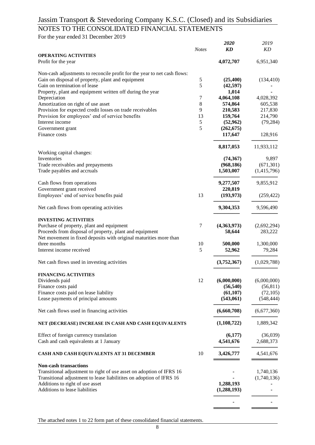## Jassim Transport & Stevedoring Company K.S.C. (Closed) and its Subsidiaries

# NOTES TO THE CONSOLIDATED FINANCIAL STATEMENTS

For the year ended 31 December 2019

|                                                                          |               | 2020          | 2019        |
|--------------------------------------------------------------------------|---------------|---------------|-------------|
|                                                                          | <b>Notes</b>  | <b>KD</b>     | KD          |
| <b>OPERATING ACTIVITIES</b>                                              |               |               |             |
| Profit for the year                                                      |               | 4,072,707     | 6,951,340   |
|                                                                          |               |               |             |
| Non-cash adjustments to reconcile profit for the year to net cash flows: |               |               |             |
| Gain on disposal of property, plant and equipment                        | 5             | (25, 400)     | (134, 410)  |
| Gain on termination of lease                                             | 5             | (42, 597)     |             |
| Property, plant and equipment written off during the year                |               | 1,014         |             |
| Depreciation                                                             | 7             | 4,064,108     | 4,028,392   |
| Amortization on right of use asset                                       | 8             | 574,864       | 605,538     |
| Provision for expected credit losses on trade receivables                | 9             | 210,583       | 217,830     |
| Provision for employees' end of service benefits                         | 13            | 159,764       | 214,790     |
| Interest income                                                          | $\mathfrak s$ | (52,962)      | (79, 284)   |
| Government grant                                                         | 5             | (262, 675)    |             |
| Finance costs                                                            |               | 117,647       | 128,916     |
|                                                                          |               | 8,817,053     | 11,933,112  |
| Working capital changes:                                                 |               |               |             |
| Inventories                                                              |               | (74, 367)     | 9,897       |
| Trade receivables and prepayments                                        |               | (968, 186)    | (671, 301)  |
| Trade payables and accruals                                              |               | 1,503,007     | (1,415,796) |
|                                                                          |               | 9,277,507     | 9,855,912   |
| Cash flows from operations                                               |               |               |             |
| Government grant received                                                |               | 220,819       |             |
| Employees' end of service benefits paid                                  | 13            | (193, 973)    | (259, 422)  |
| Net cash flows from operating activities                                 |               | 9,304,353     | 9,596,490   |
| <b>INVESTING ACTIVITIES</b>                                              |               |               |             |
| Purchase of property, plant and equipment                                | 7             | (4,363,973)   | (2,692,294) |
| Proceeds from disposal of property, plant and equipment                  |               | 58,644        | 283,222     |
| Net movement in fixed deposits with original maturities more than        |               |               |             |
| three months                                                             | 10            | 500,000       | 1,300,000   |
| Interest income received                                                 | 5             | 52,962        | 79,284      |
|                                                                          |               |               |             |
| Net cash flows used in investing activities                              |               | (3,752,367)   | (1,029,788) |
| <b>FINANCING ACTIVITIES</b>                                              |               |               |             |
| Dividends paid                                                           | 12            | (6,000,000)   | (6,000,000) |
| Finance costs paid                                                       |               | (56, 540)     | (56, 811)   |
| Finance costs paid on lease liability                                    |               | (61, 107)     | (72, 105)   |
| Lease payments of principal amounts                                      |               | (543,061)     | (548, 444)  |
| Net cash flows used in financing activities                              |               | (6,660,708)   | (6,677,360) |
| NET (DECREASE) INCREASE IN CASH AND CASH EQUIVALENTS                     |               | (1,108,722)   | 1,889,342   |
|                                                                          |               |               |             |
| Effect of foreign currency translation                                   |               | (6,177)       | (36,039)    |
| Cash and cash equivalents at 1 January                                   |               | 4,541,676     | 2,688,373   |
| <b>CASH AND CASH EQUIVALENTS AT 31 DECEMBER</b>                          | 10            | 3,426,777     | 4,541,676   |
| <b>Non-cash transactions</b>                                             |               |               |             |
| Transitional adjustment to right of use asset on adoption of IFRS 16     |               |               | 1,740,136   |
| Transitional adjustment to lease liabilitites on adoption of IFRS 16     |               |               | (1,740,136) |
| Additions to right of use asset                                          |               | 1,288,193     |             |
| Additions to lease liabilities                                           |               | (1, 288, 193) |             |
|                                                                          |               |               |             |
|                                                                          |               |               |             |
|                                                                          |               |               |             |

The attached notes 1 to 22 form part of these consolidated financial statements.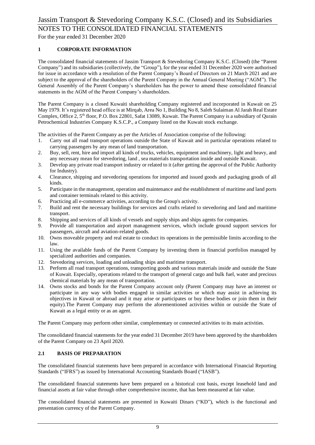For the year ended 31 December 2020

### **1 CORPORATE INFORMATION**

The consolidated financial statements of Jassim Transport & Stevedoring Company K.S.C. (Closed) (the "Parent Company") and its subsidiaries (collectively, the "Group"), for the year ended 31 December 2020 were authorised for issue in accordance with a resolution of the Parent Company's Board of Directors on 21 March 2021 and are subject to the approval of the shareholders of the Parent Company in the Annual General Meeting ("AGM"). The General Assembly of the Parent Company's shareholders has the power to amend these consolidated financial statements in the AGM of the Parent Company's shareholders.

The Parent Company is a closed Kuwaiti shareholding Company registered and incorporated in Kuwait on 25 May 1979. It's registered head office is at Mirqab, Area No 1, Building No 8, Saleh Sulaiman Al Jarah Real Estate Complex, Office 2, 5<sup>th</sup> floor, P.O. Box 22801, Safat 13089, Kuwait. The Parent Company is a subsidiary of Qurain Petrochemical Industries Company K.S.C.P., a Company listed on the Kuwait stock exchange.

The activities of the Parent Company as per the Articles of Association comprise of the following:

- 1. Carry out all road transport operations outside the State of Kuwait and in particular operations related to carrying passengers by any mean of land transportation.
- 2. Buy, sell, rent, hire and import all kinds of trucks, vehicles, equipment and machinery, light and heavy, and any necessary mean for stevedoring, land , sea materials transportation inside and outside Kuwait.
- 3. Develop any private road transport industry or related to it (after getting the approval of the Public Authority for Industry).
- 4. Clearance, shipping and stevedoring operations for imported and issued goods and packaging goods of all kinds.
- 5. Participate in the management, operation and maintenance and the establishment of maritime and land ports and container terminals related to this activity.
- 6. Practicing all e-commerce activities, according to the Group's activity.
- 7. Build and rent the necessary buildings for services and crafts related to stevedoring and land and maritime transport.
- 8. Shipping and services of all kinds of vessels and supply ships and ships agents for companies.
- 9. Provide all transportation and airport management services, which include ground support services for passengers, aircraft and aviation-related goods.
- 10. Owns moveable property and real estate to conduct its operations in the permissible limits according to the law.
- 11. Using the available funds of the Parent Company by investing them in financial portfolios managed by specialized authorities and companies.
- 12. Stevedoring services, loading and unloading ships and maritime transport.
- 13. Perform all road transport operations, transporting goods and various materials inside and outside the State of Kuwait. Especially, operations related to the transport of general cargo and bulk fuel, water and precious chemical materials by any mean of transportation.
- 14. Owns stocks and bonds for the Parent Company account only (Parent Company may have an interest or participate in any way with bodies engaged in similar activities or which may assist in achieving its objectives in Kuwait or abroad and it may arise or participates or buy these bodies or join them in their equity).The Parent Company may perform the aforementioned activities within or outside the State of Kuwait as a legal entity or as an agent.

The Parent Company may perform other similar, complementary or connected activities to its main activities.

The consolidated financial statements for the year ended 31 December 2019 have been approved by the shareholders of the Parent Company on 23 April 2020.

#### **2.1 BASIS OF PREPARATION**

The consolidated financial statements have been prepared in accordance with International Financial Reporting Standards ("IFRS") as issued by International Accounting Standards Board ("IASB").

The consolidated financial statements have been prepared on a historical cost basis, except leasehold land and financial assets at fair value through other comprehensive income, that has been measured at fair value.

The consolidated financial statements are presented in Kuwaiti Dinars ("KD"), which is the functional and presentation currency of the Parent Company.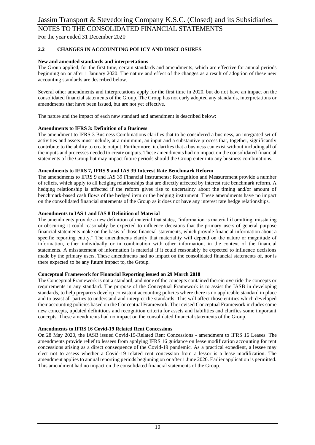For the year ended 31 December 2020

### **2.2 CHANGES IN ACCOUNTING POLICY AND DISCLOSURES**

#### **New and amended standards and interpretations**

The Group applied, for the first time, certain standards and amendments, which are effective for annual periods beginning on or after 1 January 2020. The nature and effect of the changes as a result of adoption of these new accounting standards are described below.

Several other amendments and interpretations apply for the first time in 2020, but do not have an impact on the consolidated financial statements of the Group. The Group has not early adopted any standards, interpretations or amendments that have been issued, but are not yet effective.

The nature and the impact of each new standard and amendment is described below:

#### **Amendments to IFRS 3: Definition of a Business**

The amendment to IFRS 3 Business Combinations clarifies that to be considered a business, an integrated set of activities and assets must include, at a minimum, an input and a substantive process that, together, significantly contribute to the ability to create output. Furthermore, it clarifies that a business can exist without including all of the inputs and processes needed to create outputs. These amendments had no impact on the consolidated financial statements of the Group but may impact future periods should the Group enter into any business combinations.

#### **Amendments to IFRS 7, IFRS 9 and IAS 39 Interest Rate Benchmark Reform**

The amendments to IFRS 9 and IAS 39 Financial Instruments: Recognition and Measurement provide a number of reliefs, which apply to all hedging relationships that are directly affected by interest rate benchmark reform. A hedging relationship is affected if the reform gives rise to uncertainty about the timing and/or amount of benchmark-based cash flows of the hedged item or the hedging instrument. These amendments have no impact on the consolidated financial statements of the Group as it does not have any interest rate hedge relationships.

#### **Amendments to IAS 1 and IAS 8 Definition of Material**

The amendments provide a new definition of material that states, "information is material if omitting, misstating or obscuring it could reasonably be expected to influence decisions that the primary users of general purpose financial statements make on the basis of those financial statements, which provide financial information about a specific reporting entity." The amendments clarify that materiality will depend on the nature or magnitude of information, either individually or in combination with other information, in the context of the financial statements. A misstatement of information is material if it could reasonably be expected to influence decisions made by the primary users. These amendments had no impact on the consolidated financial statements of, nor is there expected to be any future impact to, the Group.

#### **Conceptual Framework for Financial Reporting issued on 29 March 2018**

The Conceptual Framework is not a standard, and none of the concepts contained therein override the concepts or requirements in any standard. The purpose of the Conceptual Framework is to assist the IASB in developing standards, to help preparers develop consistent accounting policies where there is no applicable standard in place and to assist all parties to understand and interpret the standards. This will affect those entities which developed their accounting policies based on the Conceptual Framework. The revised Conceptual Framework includes some new concepts, updated definitions and recognition criteria for assets and liabilities and clarifies some important concepts. These amendments had no impact on the consolidated financial statements of the Group.

#### **Amendments to IFRS 16 Covid-19 Related Rent Concessions**

On 28 May 2020, the IASB issued Covid-19-Related Rent Concessions - amendment to IFRS 16 Leases. The amendments provide relief to lessees from applying IFRS 16 guidance on lease modification accounting for rent concessions arising as a direct consequence of the Covid-19 pandemic. As a practical expedient, a lessee may elect not to assess whether a Covid-19 related rent concession from a lessor is a lease modification. The amendment applies to annual reporting periods beginning on or after 1 June 2020. Earlier application is permitted. This amendment had no impact on the consolidated financial statements of the Group.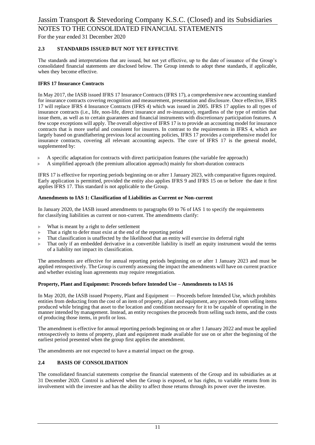For the year ended 31 December 2020

#### **2.3 STANDARDS ISSUED BUT NOT YET EFFECTIVE**

The standards and interpretations that are issued, but not yet effective, up to the date of issuance of the Group's consolidated financial statements are disclosed below. The Group intends to adopt these standards, if applicable, when they become effective.

#### **IFRS 17 Insurance Contracts**

In May 2017, the IASB issued IFRS 17 Insurance Contracts (IFRS 17), a comprehensive new accounting standard for insurance contracts covering recognition and measurement, presentation and disclosure. Once effective, IFRS 17 will replace IFRS 4 Insurance Contracts (IFRS 4) which was issued in 2005. IFRS 17 applies to all types of insurance contracts (i.e., life, non-life, direct insurance and re-insurance), regardless of the type of entities that issue them, as well as to certain guarantees and financial instruments with discretionary participation features. A few scope exceptions will apply. The overall objective of IFRS 17 is to provide an accounting model for insurance contracts that is more useful and consistent for insurers. In contrast to the requirements in IFRS 4, which are largely based on grandfathering previous local accounting policies, IFRS 17 provides a comprehensive model for insurance contracts, covering all relevant accounting aspects. The core of IFRS 17 is the general model, supplemented by:

- $\blacktriangleright$  A specific adaptation for contracts with direct participation features (the variable fee approach)
- $\blacktriangleright$  A simplified approach (the premium allocation approach) mainly for short-duration contracts

IFRS 17 is effective for reporting periods beginning on or after 1 January 2023, with comparative figures required. Early application is permitted, provided the entity also applies IFRS 9 and IFRS 15 on or before the date it first applies IFRS 17. This standard is not applicable to the Group.

#### **Amendments to IAS 1: Classification of Liabilities as Current or Non-current**

In January 2020, the IASB issued amendments to paragraphs 69 to 76 of IAS 1 to specify the requirements for classifying liabilities as current or non-current. The amendments clarify:

- $\blacktriangleright$  What is meant by a right to defer settlement
- $\blacktriangleright$  That a right to defer must exist at the end of the reporting period
- $\blacktriangleright$  That classification is unaffected by the likelihood that an entity will exercise its deferral right
- $\blacktriangleright$  That only if an embedded derivative in a convertible liability is itself an equity instrument would the terms of a liability not impact its classification.

The amendments are effective for annual reporting periods beginning on or after 1 January 2023 and must be applied retrospectively. The Group is currently assessing the impact the amendments will have on current practice and whether existing loan agreements may require renegotiation.

#### **Property, Plant and Equipment: Proceeds before Intended Use – Amendments to IAS 16**

In May 2020, the IASB issued Property, Plant and Equipment — Proceeds before Intended Use, which prohibits entities from deducting from the cost of an item of property, plant and equipment, any proceeds from selling items produced while bringing that asset to the location and condition necessary for it to be capable of operating in the manner intended by management. Instead, an entity recognises the proceeds from selling such items, and the costs of producing those items, in profit or loss.

The amendment is effective for annual reporting periods beginning on or after 1 January 2022 and must be applied retrospectively to items of property, plant and equipment made available for use on or after the beginning of the earliest period presented when the group first applies the amendment.

The amendments are not expected to have a material impact on the group.

#### **2.4 BASIS OF CONSOLIDATION**

The consolidated financial statements comprise the financial statements of the Group and its subsidiaries as at 31 December 2020. Control is achieved when the Group is exposed, or has rights, to variable returns from its involvement with the investee and has the ability to affect those returns through its power over the investee.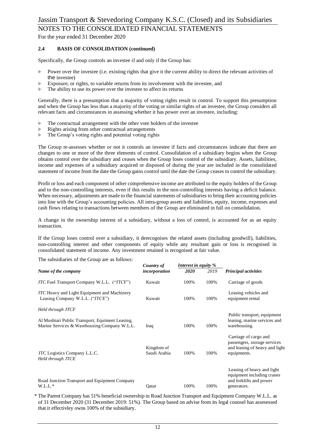For the year ended 31 December 2020

#### **2.4 BASIS OF CONSOLIDATION (continued)**

Specifically, the Group controls an investee if and only if the Group has:

- Power over the investee (i.e. existing rights that give it the current ability to direct the relevant activities of the investee)
- Exposure, or rights, to variable returns from its involvement with the investee, and
- The ability to use its power over the investee to affect its returns

Generally, there is a presumption that a majority of voting rights result in control. To support this presumption and when the Group has less than a majority of the voting or similar rights of an investee, the Group considers all relevant facts and circumstances in assessing whether it has power over an investee, including:

- $\blacktriangleright$  The contractual arrangement with the other vote holders of the investee
- Rights arising from other contractual arrangements
- **The Group's voting rights and potential voting rights**

The Group re-assesses whether or not it controls an investee if facts and circumstances indicate that there are changes to one or more of the three elements of control. Consolidation of a subsidiary begins when the Group obtains control over the subsidiary and ceases when the Group loses control of the subsidiary. Assets, liabilities, income and expenses of a subsidiary acquired or disposed of during the year are included in the consolidated statement of income from the date the Group gains control until the date the Group ceases to control the subsidiary.

Profit or loss and each component of other comprehensive income are attributed to the equity holders of the Group and to the non-controlling interests, even if this results in the non-controlling interests having a deficit balance. When necessary, adjustments are made to the financial statements of subsidiaries to bring their accounting policies into line with the Group's accounting policies. All intra-group assets and liabilities, equity, income, expenses and cash flows relating to transactions between members of the Group are eliminated in full on consolidation.

A change in the ownership interest of a subsidiary, without a loss of control, is accounted for as an equity transaction.

If the Group loses control over a subsidiary, it derecognises the related assets (including goodwill), liabilities, non-controlling interest and other components of equity while any resultant gain or loss is recognised in consolidated statement of income. Any investment retained is recognised at fair value.

The subsidiaries of the Group are as follows:

|                                                                                                 | Country of                 | Interest in equity % |      |                                                                                                        |  |
|-------------------------------------------------------------------------------------------------|----------------------------|----------------------|------|--------------------------------------------------------------------------------------------------------|--|
| Name of the company                                                                             | incorporation              | 2020                 | 2019 | <b>Principal activities</b>                                                                            |  |
| JTC Fuel Transport Company W.L.L. ("JTCF")                                                      | Kuwait                     | 100%                 | 100% | Carriage of goods                                                                                      |  |
| JTC Heavy and Light Equipment and Machinery<br>Leasing Company W.L.L. ("JTCE")                  | Kuwait                     | 100%                 | 100% | Leasing vehicles and<br>equipment rental                                                               |  |
| Held through JTCF                                                                               |                            |                      |      |                                                                                                        |  |
| Al Mushtari Public Transport, Equiment Leasing,<br>Marine Services & Warehousing Company W.L.L. | Iraq                       | 100%                 | 100% | Public transport, equipment<br>leasing, marine services and<br>warehousing.                            |  |
| JTC Logistics Company L.L.C.<br>Held through JTCE                                               | Kingdom of<br>Saudi Arabia | 100%                 | 100% | Carriage of cargo and<br>passengers, storage services<br>and leasing of heavy and light<br>equipments. |  |
| Road Junction Transport and Equipment Company<br>$W.L.L.*$                                      | Qatar                      | 100%                 | 100% | Leasing of heavy and light<br>equipment including cranes<br>and forklifts and power<br>generators.     |  |

\* The Parent Company has 51% beneficial ownership in Road Junction Transport and Equipment Company W.L.L. as of 31 December 2020 (31 December 2019: 51%). The Group based on advise from its legal counsel has assesessed that it effectivley owns 100% of the subsidiary.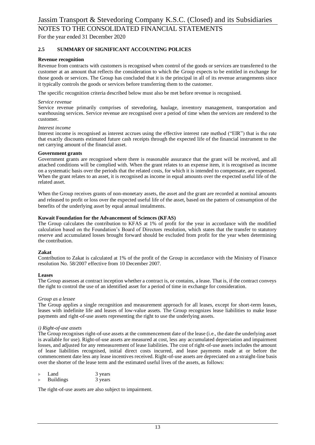For the year ended 31 December 2020

### **2.5 SUMMARY OF SIGNIFICANT ACCOUNTING POLICES**

#### **Revenue recognition**

Revenue from contracts with customers is recognised when control of the goods or services are transferred to the customer at an amount that reflects the consideration to which the Group expects to be entitled in exchange for those goods or services. The Group has concluded that it is the principal in all of its revenue arrangements since it typically controls the goods or services before transferring them to the customer.

The specific recognition criteria described below must also be met before revenue is recognised.

#### *Service revenue*

Service revenue primarily comprises of stevedoring, haulage, inventory management, transportation and warehousing services. Service revenue are recognised over a period of time when the services are rendered to the customer.

#### *Interest income*

Interest income is recognised as interest accrues using the effective interest rate method ("EIR") that is the rate that exactly discounts estimated future cash receipts through the expected life of the financial instrument to the net carrying amount of the financial asset.

#### **Government grants**

Government grants are recognised where there is reasonable assurance that the grant will be received, and all attached conditions will be complied with. When the grant relates to an expense item, it is recognised as income on a systematic basis over the periods that the related costs, for which it is intended to compensate, are expensed. When the grant relates to an asset, it is recognised as income in equal amounts over the expected useful life of the related asset.

When the Group receives grants of non-monetary assets, the asset and the grant are recorded at nominal amounts and released to profit or loss over the expected useful life of the asset, based on the pattern of consumption of the benefits of the underlying asset by equal annual instalments.

#### **Kuwait Foundation for the Advancement of Sciences (KFAS)**

The Group calculates the contribution to KFAS at 1% of profit for the year in accordance with the modified calculation based on the Foundation's Board of Directors resolution, which states that the transfer to statutory reserve and accumulated losses brought forward should be excluded from profit for the year when determining the contribution.

#### **Zakat**

Contribution to Zakat is calculated at 1% of the profit of the Group in accordance with the Ministry of Finance resolution No. 58/2007 effective from 10 December 2007.

#### **Leases**

The Group assesses at contract inception whether a contract is, or contains, a lease. That is, if the contract conveys the right to control the use of an identified asset for a period of time in exchange for consideration.

#### *Group as a lessee*

The Group applies a single recognition and measurement approach for all leases, except for short-term leases, leases with indefinite life and leases of low-value assets. The Group recognizes lease liabilities to make lease payments and right-of-use assets representing the right to use the underlying assets.

#### *i) Right-of-use assets*

The Group recognises right-of-use assets at the commencement date of the lease (i.e., the date the underlying asset is available for use). Right-of-use assets are measured at cost, less any accumulated depreciation and impairment losses, and adjusted for any remeasurement of lease liabilities. The cost of right-of-use assets includes the amount of lease liabilities recognised, initial direct costs incurred, and lease payments made at or before the commencement date less any lease incentives received. Right-of-use assets are depreciated on a straight-line basis over the shorter of the lease term and the estimated useful lives of the assets, as follows:

| Land             | 3 years |
|------------------|---------|
| <b>Buildings</b> | 3 years |

The right-of-use assets are also subject to impairment.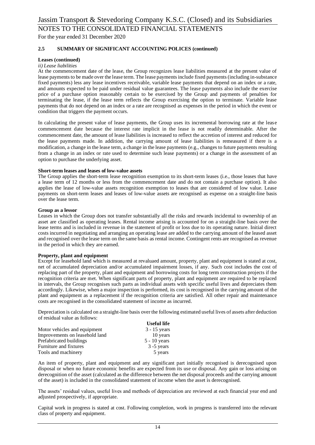For the year ended 31 December 2020

#### **2.5 SUMMARY OF SIGNIFICANT ACCOUNTING POLICES (continued)**

#### **Leases (continued)**

#### *ii) Lease liabilities*

At the commencement date of the lease, the Group recognizes lease liabilities measured at the present value of lease payments to be made over the lease term. The lease payments include fixed payments (including in-substance fixed payments) less any lease incentives receivable, variable lease payments that depend on an index or a rate, and amounts expected to be paid under residual value guarantees. The lease payments also include the exercise price of a purchase option reasonably certain to be exercised by the Group and payments of penalties for terminating the lease, if the lease term reflects the Group exercising the option to terminate. Variable lease payments that do not depend on an index or a rate are recognised as expenses in the period in which the event or condition that triggers the payment occurs.

In calculating the present value of lease payments, the Group uses its incremental borrowing rate at the lease commencement date because the interest rate implicit in the lease is not readily determinable. After the commencement date, the amount of lease liabilities is increased to reflect the accretion of interest and reduced for the lease payments made. In addition, the carrying amount of lease liabilities is remeasured if there is a modification, a change in the lease term, a change in the lease payments (e.g., changes to future payments resulting from a change in an index or rate used to determine such lease payments) or a change in the assessment of an option to purchase the underlying asset.

#### **Short-term leases and leases of low-value assets**

The Group applies the short-term lease recognition exemption to its short-term leases (i.e., those leases that have a lease term of 12 months or less from the commencement date and do not contain a purchase option). It also applies the lease of low-value assets recognition exemption to leases that are considered of low value. Lease payments on short-term leases and leases of low-value assets are recognised as expense on a straight-line basis over the lease term.

#### **Group as a lessor**

Leases in which the Group does not transfer substantially all the risks and rewards incidental to ownership of an asset are classified as operating leases. Rental income arising is accounted for on a straight-line basis over the lease terms and is included in revenue in the statement of profit or loss due to its operating nature. Initial direct costs incurred in negotiating and arranging an operating lease are added to the carrying amount of the leased asset and recognised over the lease term on the same basis as rental income. Contingent rents are recognised as revenue in the period in which they are earned.

#### **Property, plant and equipment**

Except for leasehold land which is measured at revaluaed amount, property, plant and equipment is stated at cost, net of accumulated depreciation and/or accumulated impairment losses, if any. Such cost includes the cost of replacing part of the property, plant and equipment and borrowing costs for long term construction projects if the recognition criteria are met. When significant parts of property, plant and equipment are required to be replaced in intervals, the Group recognises such parts as individual assets with specific useful lives and depreciates them accordingly. Likewise, when a major inspection is performed, its cost is recognised in the carrying amount of the plant and equipment as a replacement if the recognition criteria are satisfied. All other repair and maintenance costs are recognised in the consolidated statement of income as incurred.

Depreciation is calculated on a straight-line basis over the following estimated useful lives of assets after deduction of residual value as follows: **Useful life**

|                                | Userul life    |
|--------------------------------|----------------|
| Motor vehicles and equipment   | $3 - 15$ years |
| Improvements on leasehold land | 10 years       |
| Prefabricated buildings        | $5 - 10$ years |
| Furniture and fixtures         | $3 - 5$ years  |
| Tools and machinery            | 5 years        |

An item of property, plant and equipment and any significant part initially recognised is derecognised upon disposal or when no future economic benefits are expected from its use or disposal. Any gain or loss arising on derecognition of the asset (calculated as the difference between the net disposal proceeds and the carrying amount of the asset) is included in the consolidated statement of income when the asset is derecognised.

The assets' residual values, useful lives and methods of depreciation are reviewed at each financial year end and adjusted prospectively, if appropriate.

Capital work in progress is stated at cost. Following completion, work in progress is transferred into the relevant class of property and equipment.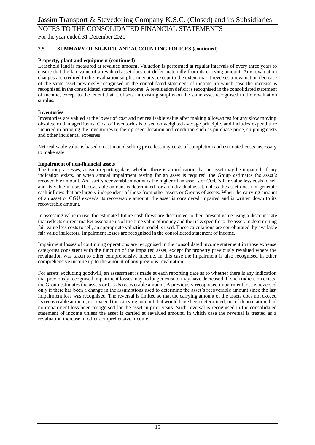For the year ended 31 December 2020

#### **2.5 SUMMARY OF SIGNIFICANT ACCOUNTING POLICES (continued)**

#### **Property, plant and equipment (continued)**

Leasehold land is measured at revalued amount. Valuation is performed at regular intervals of every three years to ensure that the fair value of a revalued asset does not differ materially from its carrying amount. Any revaluation changes are credited to the revaluation surplus in equity, except to the extent that it reverses a revaluation decrease of the same asset previously recognised in the consolidated statement of income, in which case the increase is recognised in the consolidated statement of income. A revaluation deficit is recognised in the consolidated statement of income, except to the extent that it offsets an existing surplus on the same asset recognised in the revaluation surplus.

#### **Inventories**

Inventories are valued at the lower of cost and net realisable value after making allowances for any slow moving obsolete or damaged items. Cost of inventories is based on weighted average principle, and includes expenditure incurred in bringing the inventories to their present location and condition such as purchase price, shipping costs and other incidental expesnes.

Net realisable value is based on estimated selling price less any costs of completion and estimated costs necessary to make sale.

#### **Impairment of non-financial assets**

The Group assesses, at each reporting date, whether there is an indication that an asset may be impaired. If any indication exists, or when annual impairment testing for an asset is required, the Group estimates the asset's recoverable amount. An asset's recoverable amount is the higher of an asset's or CGU's fair value less costs to sell and its value in use. Recoverable amount is determined for an individual asset, unless the asset does not generate cash inflows that are largely independent of those from other assets or Groups of assets. When the carrying amount of an asset or CGU exceeds its recoverable amount, the asset is considered impaired and is written down to its recoverable amount.

In assessing value in use, the estimated future cash flows are discounted to their present value using a discount rate that reflects current market assessments of the time value of money and the risks specific to the asset. In determining fair value less costs to sell, an appropriate valuation model is used. These calculations are corroborated by available fair value indicators. Impairment losses are recognised in the consolidated statement of income.

Impairment losses of continuing operations are recognised in the consolidated income statement in those expense categories consistent with the function of the impaired asset, except for property previously revalued where the revaluation was taken to other comprehensive income. In this case the impairment is also recognised in other comprehensive income up to the amount of any previous revaluation.

For assets excluding goodwill, an assessment is made at each reporting date as to whether there is any indication that previously recognised impairment losses may no longer exist or may have decreased. If such indication exists, the Group estimates the assets or CGUs recoverable amount. A previously recognised impairment loss is reversed only if there has been a change in the assumptions used to determine the asset's recoverable amount since the last impairment loss was recognised. The reversal is limited so that the carrying amount of the assets does not exceed its recoverable amount, nor exceed the carrying amount that would have been determined, net of depreciation, had no impairment loss been recognised for the asset in prior years. Such reversal is recognised in the consolidated statement of income unless the asset is carried at revalued amount, in which case the reversal is treated as a revaluation increase in other comprehensive income.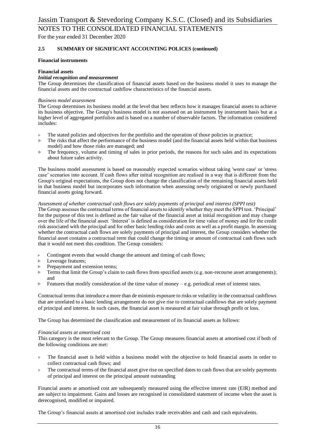For the year ended 31 December 2020

#### **2.5 SUMMARY OF SIGNIFICANT ACCOUNTING POLICES (continued)**

#### **Financial instruments**

#### **Financial assets**

#### *Initial recognition and measurement*

The Group determines the classification of financial assets based on the business model it uses to manage the financial assets and the contractual cashflow characteristics of the financial assets.

#### *Business model assessment*

The Group determines its business model at the level that best reflects how it manages financial assets to achieve its business objective. The Group's business model is not assessed on an instrument by instrument basis but at a higher level of aggregated portfolios and is based on a number of observable factors. The information considered includes:

- The stated policies and objectives for the portfolio and the operation of those policies in practice;
- The risks that affect the performance of the business model (and the financial assets held within that business model) and how those risks are managed; and
- $\blacktriangleright$  The frequency, volume and timing of sales in prior periods, the reasons for such sales and its expectations about future sales activity.

The business model assessment is based on reasonably expected scenarios without taking 'worst case' or 'stress case' scenarios into account. If cash flows after initial recognition are realised in a way that is different from the Group's original expectations, the Group does not change the classification of the remaining financial assets held in that business model but incorporates such information when assessing newly originated or newly purchased financial assets going forward.

#### *Assessment of whether contractual cash flows are solely payments of principal and interest (SPPI test)*

The Group assesses the contractual terms of financial assets to identify whether they meet the SPPI test. 'Principal' for the purpose of this test is defined as the fair value of the financial asset at initial recognition and may change over the life of the financial asset. 'Interest' is defined as consideration for time value of money and for the credit risk associated with the principal and for other basic lending risks and costs as well as a profit margin. In assessing whether the contractual cash flows are solely payments of principal and interest, the Group considers whether the financial asset contains a contractual term that could change the timing or amount of contractual cash flows such that it would not meet this condition. The Group considers:

- Contingent events that would change the amount and timing of cash flows;
- Leverage features;
- **Prepayment and extension terms;**
- Ferms that limit the Group's claim to cash flows from specified assets (e.g. non-recourse asset arrangements); and
- Features that modify consideration of the time value of money e.g. periodical reset of interest rates.

Contractual terms that introduce a more than de minimis exposure to risks or volatility in the contractual cashflows that are unrelated to a basic lending arrangement do not give rise to contractual cashflows that are solely payment of principal and interest. In such cases, the financial asset is measured at fair value through profit or loss.

The Group has determined the classification and measurement of its financial assets as follows:

#### *Financial assets at amortised cost*

This category is the most relevant to the Group. The Group measures financial assets at amortised cost if both of the following conditions are met:

- The financial asset is held within a business model with the objective to hold financial assets in order to collect contractual cash flows; and
- The contractual terms of the financial asset give rise on specified dates to cash flows that are solely payments of principal and interest on the principal amount outstanding

Financial assets at amortised cost are subsequently measured using the effective interest rate (EIR) method and are subject to impairment. Gains and losses are recognised in consolidated statement of income when the asset is derecognised, modified or impaired.

The Group's financial assets at amortised cost includes trade receivables and cash and cash equivalents.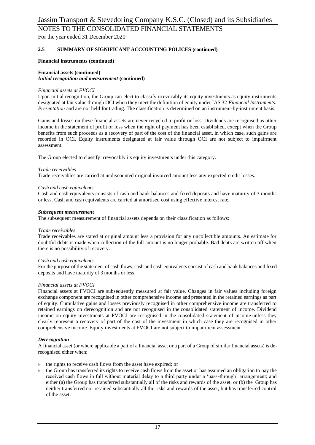For the year ended 31 December 2020

#### **2.5 SUMMARY OF SIGNIFICANT ACCOUNTING POLICES (continued)**

#### **Financial instruments (continued)**

#### **Financial assets (continued)** *Initial recognition and measurement* **(continued)**

#### *Financial assets at FVOCI*

Upon initial recognition, the Group can elect to classify irrevocably its equity investments as equity instruments designated at fair value through OCI when they meet the definition of equity under IAS 32 *Financial Instruments: Presentation* and are not held for trading. The classification is determined on an instrument-by-instrument basis.

Gains and losses on these financial assets are never recycled to profit or loss. Dividends are recognised as other income in the statement of profit or loss when the right of payment has been established, except when the Group benefits from such proceeds as a recovery of part of the cost of the financial asset, in which case, such gains are recorded in OCI. Equity instruments designated at fair value through OCI are not subject to impairment assessment.

The Group elected to classify irrevocably its equity investments under this category.

#### *Trade receivables*

Trade receivables are carried at undiscounted original invoiced amount less any expected credit losses.

#### *Cash and cash equivalents*

Cash and cash equivalents consists of cash and bank balances and fixed deposits and have maturity of 3 months or less. Cash and cash equivalents are carried at amortised cost using effective interest rate.

#### *Subsequent measurement*

The subsequent measurement of financial assets depends on their classification as follows:

#### *Trade receivables*

Trade receivables are stated at original amount less a provision for any uncollectible amounts. An estimate for doubtful debts is made when collection of the full amount is no longer probable. Bad debts are written off when there is no possibility of recovery.

#### *Cash and cash equivalents*

For the purpose of the statement of cash flows, cash and cash equivalents consist of cash and bank balances and fixed deposits and have maturity of 3 months or less.

#### *Financial assets at FVOCI*

Financial assets at FVOCI are subsequently measured at fair value. Changes in fair values including foreign exchange component are recognised in other comprehensive income and presented in the retained earnings as part of equity. Cumulative gains and losses previously recognised in other comprehensive income are transferred to retained earnings on derecognition and are not recognised in the consolidated statement of income. Dividend income on equity investments at FVOCI are recognised in the consolidated statement of income unless they clearly represent a recovery of part of the cost of the investment in which case they are recognised in other comprehensive income. Equity investments at FVOCI are not subject to impairment assessment.

#### *Derecognition*

A financial asset (or where applicable a part of a financial asset or a part of a Group of similar financial assets) is derecognised either when:

- $\blacktriangleright$  the rights to receive cash flows from the asset have expired; or
- $\triangleright$  the Group has transferred its rights to receive cash flows from the asset or has assumed an obligation to pay the received cash flows in full without material delay to a third party under a 'pass-through' arrangement; and either (a) the Group has transferred substantially all of the risks and rewards of the asset, or (b) the Group has neither transferred nor retained substantially all the risks and rewards of the asset, but has transferred control of the asset.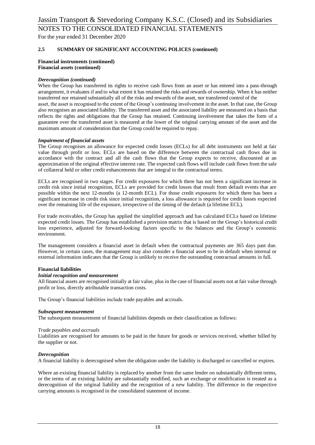For the year ended 31 December 2020

#### **2.5 SUMMARY OF SIGNIFICANT ACCOUNTING POLICES (continued)**

#### **Financial instruments (continued) Financial assets (continued)**

#### *Derecognition (continued)*

When the Group has transferred its rights to receive cash flows from an asset or has entered into a pass-through arrangement, it evaluates if and to what extent it has retained the risks and rewards of ownership. When it has neither transferred nor retained substantially all of the risks and rewards of the asset, nor transferred control of the asset, the asset is recognised to the extent of the Group's continuing involvement in the asset. In that case, the Group also recognises an associated liability. The transferred asset and the associated liability are measured on a basis that reflects the rights and obligations that the Group has retained. Continuing involvement that takes the form of a guarantee over the transferred asset is measured at the lower of the original carrying amount of the asset and the maximum amount of consideration that the Group could be required to repay.

#### *Impairment of financial assets*

The Group recognises an allowance for expected credit losses (ECLs) for all debt instruments not held at fair value through profit or loss. ECLs are based on the difference between the contractual cash flows due in accordance with the contract and all the cash flows that the Group expects to receive, discounted at an approximation of the original effective interest rate. The expected cash flows will include cash flows from the sale of collateral held or other credit enhancements that are integral to the contractual terms.

ECLs are recognised in two stages. For credit exposures for which there has not been a significant increase in credit risk since initial recognition, ECLs are provided for credit losses that result from default events that are possible within the next 12-months (a 12-month ECL). For those credit exposures for which there has been a significant increase in credit risk since initial recognition, a loss allowance is required for credit losses expected over the remaining life of the exposure, irrespective of the timing of the default (a lifetime ECL).

For trade receivables, the Group has applied the simplified approach and has calculated ECLs based on lifetime expected credit losses. The Group has established a provision matrix that is based on the Group's historical credit loss experience, adjusted for forward-looking factors specific to the balances and the Group's economic environment.

The management considers a financial asset in default when the contractual payments are 365 days past due. However, in certain cases, the management may also consider a financial asset to be in default when internal or external information indicates that the Group is unlikely to receive the outstanding contractual amounts in full.

#### **Financial liabilities**

#### *Initial recognition and measurement*

All financial assets are recognised initially at fair value, plus in the case of financial assets not at fair value through profit or loss, directly attributable transaction costs.

The Group's financial liabilities include trade payables and accruals.

#### *Subsequent measurement*

The subsequent measurement of financial liabilities depends on their classification as follows:

#### *Trade payables and accruals*

Liabilities are recognised for amounts to be paid in the future for goods or services received, whether billed by the supplier or not.

#### *Derecognition*

A financial liability is derecognised when the obligation under the liability is discharged or cancelled or expires.

Where an existing financial liability is replaced by another from the same lender on substantially different terms, or the terms of an existing liability are substantially modified, such an exchange or modification is treated as a derecognition of the original liability and the recognition of a new liability. The difference in the respective carrying amounts is recognised in the consolidated statement of income.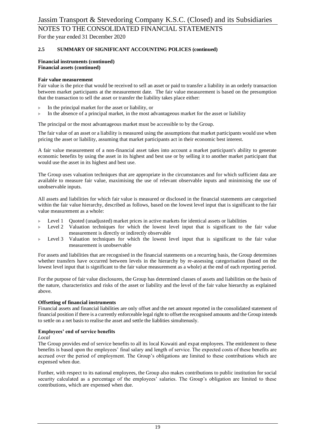For the year ended 31 December 2020

#### **2.5 SUMMARY OF SIGNIFICANT ACCOUNTING POLICES (continued)**

#### **Financial instruments (continued) Financial assets (continued)**

#### **Fair value measurement**

Fair value is the price that would be received to sell an asset or paid to transfer a liability in an orderly transaction between market participants at the measurement date. The fair value measurement is based on the presumption that the transaction to sell the asset or transfer the liability takes place either:

- $\blacktriangleright$  In the principal market for the asset or liability, or
- In the absence of a principal market, in the most advantageous market for the asset or liability

The principal or the most advantageous market must be accessible to by the Group.

The fair value of an asset or a liability is measured using the assumptions that market participants would use when pricing the asset or liability, assuming that market participants act in their economic best interest.

A fair value measurement of a non-financial asset takes into account a market participant's ability to generate economic benefits by using the asset in its highest and best use or by selling it to another market participant that would use the asset in its highest and best use.

The Group uses valuation techniques that are appropriate in the circumstances and for which sufficient data are available to measure fair value, maximising the use of relevant observable inputs and minimising the use of unobservable inputs.

All assets and liabilities for which fair value is measured or disclosed in the financial statements are categorised within the fair value hierarchy, described as follows, based on the lowest level input that is significant to the fair value measurement as a whole:

- Level 1 Quoted (unadjusted) market prices in active markets for identical assets or liabilities
- Level 2 Valuation techniques for which the lowest level input that is significant to the fair value measurement is directly or indirectly observable
- Level 3 Valuation techniques for which the lowest level input that is significant to the fair value measurement is unobservable

For assets and liabilities that are recognised in the financial statements on a recurring basis, the Group determines whether transfers have occurred between levels in the hierarchy by re-assessing categorisation (based on the lowest level input that is significant to the fair value measurement as a whole) at the end of each reporting period.

For the purpose of fair value disclosures, the Group has determined classes of assets and liabilities on the basis of the nature, characteristics and risks of the asset or liability and the level of the fair value hierarchy as explained above.

#### **Offsetting of financial instruments**

Financial assets and financial liabilities are only offset and the net amount reported in the consolidated statement of financial position if there is a currently enforceable legal right to offset the recognised amounts and the Group intends to settle on a net basis to realise the asset and settle the liablities simultenusly.

#### **Employees' end of service benefits**

#### *Local*

The Group provides end of service benefits to all its local Kuwaiti and expat employees. The entitlement to these benefits is based upon the employees' final salary and length of service. The expected costs of these benefits are accrued over the period of employment. The Group's obligations are limited to these contributions which are expensed when due.

Further, with respect to its national employees, the Group also makes contributions to public institution for social security calculated as a percentage of the employees' salaries. The Group's obligation are limited to these contributions, which are expensed when due.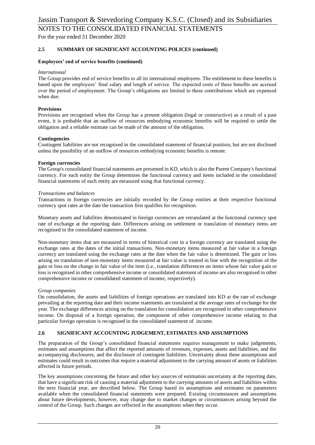For the year ended 31 December 2020

### **2.5 SUMMARY OF SIGNIFICANT ACCOUNTING POLICES (continued)**

#### **Employees' end of service benefits (continued)**

#### *International*

The Group provides end of service benefits to all its international employees. The entitlement to these benefits is based upon the employees' final salary and length of service. The expected costs of these benefits are accrued over the period of employment. The Group's obligations are limited to these contributions which are expensed when due.

#### **Provisions**

Provisions are recognised when the Group has a present obligation (legal or constructive) as a result of a past event, it is probable that an outflow of resources embodying economic benefits will be required to settle the obligation and a reliable estimate can be made of the amount of the obligation.

#### **Contingencies**

Contingent liabilities are not recognised in the consolidated statement of financial position, but are not disclosed unless the possibility of an outflow of resources embodying economic benefits is remote.

#### **Foreign currencies**

The Group's consolidated financial statements are presented in KD, which is also the Parent Company's functional currency. For each entity the Group determines the functional currency and items included in the consolidated financial statements of each entity are measured using that functional currency.

#### *Transactions and balances*

Transactions in foreign currencies are initially recorded by the Group entities at their respective functional currency spot rates at the date the transaction first qualifies for recognition.

Monetary assets and liabilities denominated in foreign currencies are retranslated at the functional currency spot rate of exchange at the reporting date. Differences arising on settlement or translation of monetary items are recognised in the consolidated statement of income.

Non-monetary items that are measured in terms of historical cost in a foreign currency are translated using the exchange rates at the dates of the initial transactions. Non-monetary items measured at fair value in a foreign currency are translated using the exchange rates at the date when the fair value is determined. The gain or loss arising on translation of non-monetary items measured at fair value is treated in line with the recognition of the gain or loss on the change in fair value of the item (i.e., translation differences on items whose fair value gain or loss is recognised in other comprehensive income or consolidated statement of income are also recognised in other comprehensive income or consolidated statement of income, respectively).

#### *Group companies*

On consolidation, the assets and liabilities of foreign operations are translated into KD at the rate of exchange prevailing at the reporting date and their income statements are translated at the average rates of exchange for the year. The exchange differences arising on the translation for consolidation are recognised in other comprehensive income. On disposal of a foreign operation, the component of other comprehensive income relating to that particular foreign operation is recognised in the consolidated statement of income.

#### **2.6 SIGNIFICANT ACCOUNTING JUDGEMENT, ESTIMATES AND ASSUMPTIONS**

The preparation of the Group's consolidated financial statements requires management to make judgements, estimates and assumptions that affect the reported amounts of revenues, expenses, assets and liabilities, and the accompanying disclosures, and the disclosure of contingent liabilities. Uncertainty about these assumptions and estimates could result in outcomes that require a material adjustment to the carrying amount of assets or liabilities affected in future periods.

The key assumptions concerning the future and other key sources of estimation uncertainty at the reporting date, that have a significant risk of causing a material adjustment to the carrying amounts of assets and liabilities within the next financial year, are described below. The Group based its assumptions and estimates on parameters available when the consolidated financial statements were prepared. Existing circumstances and assumptions about future developments, however, may change due to market changes or circumstances arising beyond the control of the Group. Such changes are reflected in the assumptions when they occur.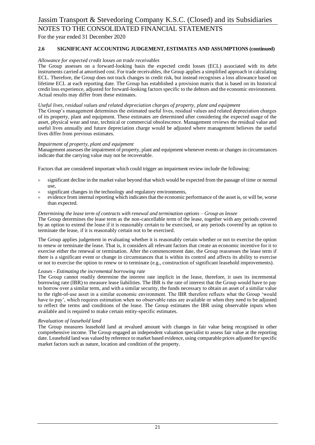For the year ended 31 December 2020

#### **2.6 SIGNIFICANT ACCOUNTING JUDGEMENT, ESTIMATES AND ASSUMPTIONS (continued)**

#### *Allowance for expected credit losses on trade receivables*

The Group assesses on a forward-looking basis the expected credit losses (ECL) associated with its debt instruments carried at amortised cost. For trade receivables, the Group applies a simplified approach in calculating ECL. Therefore, the Group does not track changes in credit risk, but instead recognises a loss allowance based on lifetime ECL at each reporting date. The Group has established a provision matrix that is based on its historical credit loss experience, adjusted for forward-looking factors specific to the debtors and the economic environment. Actual results may differ from these estimates.

#### *Useful lives, residual values and related depreciation charges of property, plant and equipment*

The Group's management determines the estimated useful lives, residual values and related depreciation charges of its property, plant and equipment. These estimates are determined after considering the expected usage of the asset, physical wear and tear, technical or commercial obsolescence. Management reviews the residual value and useful lives annually and future depreciation charge would be adjusted where management believes the useful lives differ from previous estimates.

#### *Impairment of property, plant and equipment*

Management assesses the impairment of property, plant and equipment whenever events or changes in circumstances indicate that the carrying value may not be recoverable.

Factors that are considered important which could trigger an impairment review include the following:

- significant decline in the market value beyond that which would be expected from the passage of time or normal use,
- significant changes in the technology and regulatory environments,
- evidence from internal reporting which indicates that the economic performance of the asset is, or will be, worse than expected.

#### *Determining the lease term of contracts with renewal and termination options – Group as lessee*

The Group determines the lease term as the non-cancellable term of the lease, together with any periods covered by an option to extend the lease if it is reasonably certain to be exercised, or any periods covered by an option to terminate the lease, if it is reasonably certain not to be exercised.

The Group applies judgement in evaluating whether it is reasonably certain whether or not to exercise the option to renew or terminate the lease. That is, it considers all relevant factors that create an economic incentive for it to exercise either the renewal or termination. After the commencement date, the Group reassesses the lease term if there is a significant event or change in circumstances that is within its control and affects its ability to exercise or not to exercise the option to renew or to terminate (e.g., construction of significant leasehold improvements).

#### *Leases - Estimating the incremental borrowing rate*

The Group cannot readily determine the interest rate implicit in the lease, therefore, it uses its incremental borrowing rate (IBR) to measure lease liabilities. The IBR is the rate of interest that the Group would have to pay to borrow over a similar term, and with a similar security, the funds necessary to obtain an asset of a similar value to the right-of-use asset in a similar economic environment. The IBR therefore reflects what the Group 'would have to pay', which requires estimation when no observable rates are available or when they need to be adjusted to reflect the terms and conditions of the lease. The Group estimates the IBR using observable inputs when available and is required to make certain entity-specific estimates.

#### *Revaluation of leasehold land*

The Group measures leasehold land at revalued amount with changes in fair value being recognised in other comprehensive income. The Group engaged an independent valuation specialist to assess fair value at the reporting date. Leasehold land was valued by reference to market based evidence, using comparable prices adjusted for specific market factors such as nature, location and condition of the property.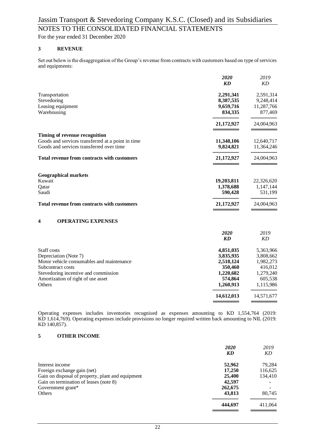For the year ended 31 December 2020

#### **3 REVENUE**

Set out below is the disaggregation of the Group's revenue from contracts with customers based on type of services and equipments:

|                                                      | 2020<br><b>KD</b> | 2019<br>KD |
|------------------------------------------------------|-------------------|------------|
| Transportation                                       | 2,291,341         | 2,591,314  |
| Stevedoring                                          | 8,387,535         | 9,248,414  |
| Leasing equipment                                    | 9,659,716         | 11,287,766 |
| Warehousing                                          | 834,335           | 877,469    |
|                                                      | 21,172,927        | 24,004,963 |
| Timing of revenue recognition                        |                   |            |
| Goods and services transferred at a point in time    | 11,348,106        | 12,640,717 |
| Goods and services transferred over time             | 9,824,821         | 11,364,246 |
| <b>Total revenue from contracts with customers</b>   | 21,172,927        | 24,004,963 |
| <b>Geographical markets</b>                          |                   |            |
| Kuwait                                               | 19,203,811        | 22,326,620 |
| Qatar                                                | 1,378,688         | 1,147,144  |
| Saudi                                                | 590,428           | 531,199    |
| <b>Total revenue from contracts with customers</b>   | 21,172,927        | 24,004,963 |
| <b>OPERATING EXPENSES</b><br>$\overline{\mathbf{4}}$ |                   |            |
|                                                      | 2020              | 2019       |

|                                           | KD         | KD         |
|-------------------------------------------|------------|------------|
| Staff costs                               | 4,851,035  | 5,363,966  |
| Depreciation (Note 7)                     | 3,835,935  | 3,808,662  |
| Motor vehicle consumables and maintenance | 2,518,124  | 1,982,273  |
| Subcontract costs                         | 350,460    | 416,012    |
| Stevedoring incentive and commission      | 1,220,682  | 1,279,240  |
| Amortization of right of use asset        | 574,864    | 605,538    |
| Others                                    | 1,260,913  | 1,115,986  |
|                                           | 14,612,013 | 14,571,677 |
|                                           |            |            |

Operating expenses includes inventories recognised as expenses amounting to KD 1,554,764 (2019: KD 1,614,769). Operating expenses include provisions no longer required written back amounting to NIL (2019: KD 140,857).

#### **5 OTHER INCOME**

|                                                   | 2020<br>KD | 2019<br>KD |
|---------------------------------------------------|------------|------------|
| Interest income                                   | 52,962     | 79,284     |
| Foreign exchange gain (net)                       | 17,250     | 116,625    |
| Gain on disposal of property, plant and equipment | 25,400     | 134,410    |
| Gain on termination of leases (note 8)            | 42,597     |            |
| Government grant*                                 | 262,675    |            |
| Others                                            | 43,813     | 80,745     |
|                                                   | 444,697    | 411,064    |
|                                                   |            |            |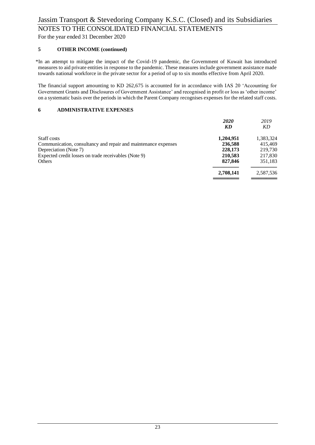For the year ended 31 December 2020

## **5 OTHER INCOME (continued)**

\*In an attempt to mitigate the impact of the Covid-19 pandemic, the Government of Kuwait has introduced measures to aid private entities in response to the pandemic. These measures include government assistance made towards national workforce in the private sector for a period of up to six months effective from April 2020.

The financial support amounting to KD 262,675 is accounted for in accordance with IAS 20 'Accounting for Government Grants and Disclosures of Government Assistance' and recognised in profit or loss as 'other income' on a systematic basis over the periods in which the Parent Company recognises expenses for the related staff costs.

#### **6 ADMINISTRATIVE EXPENSES**

|                                                                | <b>2020</b><br><b>KD</b> | 2019<br>KD |
|----------------------------------------------------------------|--------------------------|------------|
| Staff costs                                                    | 1,204,951                | 1,383,324  |
| Communication, consultancy and repair and maintenance expenses | 236,588                  | 415,469    |
| Depreciation (Note 7)                                          | 228,173                  | 219,730    |
| Expected credit losses on trade receivables (Note 9)           | 210,583                  | 217,830    |
| Others                                                         | 827,846                  | 351,183    |
|                                                                | 2,708,141                | 2,587,536  |
|                                                                |                          |            |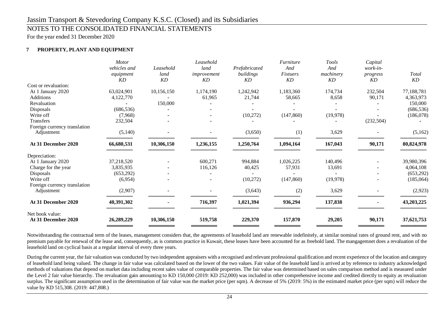For the year ended 31 December 2020

### **7 PROPERTY, PLANT AND EQUIPMENT**

|                              | <b>Motor</b><br>vehicles and | Leasehold  | Leasehold<br>land | Prefabricated   | Furniture<br>And | Tools<br>And    | Capital<br>work-in- |             |
|------------------------------|------------------------------|------------|-------------------|-----------------|------------------|-----------------|---------------------|-------------|
|                              | equipment<br>KD              | land<br>KD | improvement<br>KD | buildings<br>KD | Fixtuers<br>KD   | machinery<br>KD | progress<br>KD      | Total<br>KD |
| Cost or revaluation:         |                              |            |                   |                 |                  |                 |                     |             |
| At 1 January 2020            | 63,024,901                   | 10,156,150 | 1,174,190         | 1,242,942       | 1,183,360        | 174,734         | 232,504             | 77,188,781  |
| Additions                    | 4,122,770                    |            | 61,965            | 21,744          | 58,665           | 8,658           | 90,171              | 4,363,973   |
| Revaluation                  |                              | 150,000    |                   |                 |                  |                 |                     | 150,000     |
| Disposals                    | (686, 536)                   |            |                   |                 |                  |                 |                     | (686, 536)  |
| Write off                    | (7,968)                      |            |                   | (10,272)        | (147, 860)       | (19,978)        |                     | (186,078)   |
| Transfers                    | 232,504                      |            |                   |                 |                  |                 | (232, 504)          |             |
| Foreign currency translation |                              |            |                   |                 |                  |                 |                     |             |
| Adjustment                   | (5,140)                      | ٠          |                   | (3,650)         | (1)              | 3,629           |                     | (5,162)     |
| At 31 December 2020          | 66,680,531                   | 10,306,150 | 1,236,155         | 1,250,764       | 1,094,164        | 167,043         | 90,171              | 80,824,978  |
| Depreciation:                |                              |            |                   |                 |                  |                 |                     |             |
| At 1 January 2020            | 37,218,520                   |            | 600,271           | 994,884         | 1,026,225        | 140,496         |                     | 39,980,396  |
| Charge for the year          | 3,835,935                    |            | 116,126           | 40,425          | 57,931           | 13,691          |                     | 4,064,108   |
| Disposals                    | (653,292)                    |            |                   |                 |                  |                 |                     | (653, 292)  |
| Write off                    | (6,954)                      |            |                   | (10,272)        | (147, 860)       | (19,978)        |                     | (185,064)   |
| Foreign currency translation |                              |            |                   |                 |                  |                 |                     |             |
| Adjustment                   | (2,907)                      |            |                   | (3,643)         | (2)              | 3,629           |                     | (2,923)     |
| At 31 December 2020          | 40,391,302                   |            | 716,397           | 1,021,394       | 936,294          | 137,838         |                     | 43,203,225  |
| Net book value:              |                              |            |                   |                 |                  |                 |                     |             |
| At 31 December 2020          | 26,289,229                   | 10,306,150 | 519,758           | 229,370         | 157,870          | 29,205          | 90,171              | 37,621,753  |

Notwithstanding the contractual term of the leases, management considers that, the agreements of leasehold land are renewable indefinitely, at similar nominal rates of ground rent, and with no premium payable for renewal of the lease and, consequently, as is common practice in Kuwait, these leases have been accounted for as freehold land. The mangagemnet does a revaluation of the leasehold land on cyclical basis at a regular interval of every three years.

During the current year, the fair valuation was conducted by two independent appraisers with a recognised and relevant professional qualification and recent experience of the location and category of leasehold land being valued. The change in fair value was calculated based on the lower of the two values. Fair value of the leasehold land is arrived at by reference to industry acknowledged methods of valuations that depend on market data including recent sales value of comparable properties. The fair value was determined based on sales comparison method and is measured under the Level 2 fair value hierarchy. The revaluation gain amounting to KD 150,000 (2019: KD 252,000) was included in other comprehensive income and credited directly to equity as revaluation surplus. The significant assumption used in the determination of fair value was the market price (per sqm). A decrease of 5% (2019: 5%) in the estimated market price (per sqm) will reduce the value by KD 515,308. (2019: 447,808.)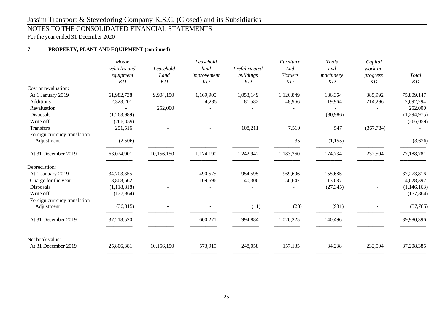For the year ended 31 December 2020

## **7 PROPERTY, PLANT AND EQUIPMENT (continued)**

|                              | Motor         |            | Leasehold   |               | Furniture | Tools     | Capital    |               |
|------------------------------|---------------|------------|-------------|---------------|-----------|-----------|------------|---------------|
|                              | vehicles and  | Leasehold  | land        | Prefabricated | And       | and       | work-in-   |               |
|                              | equipment     | Land       | improvement | buildings     | Fixtuers  | machinery | progress   | Total         |
|                              | KD            | KD         | KD          | KD            | KD        | KD        | KD         | KD            |
| Cost or revaluation:         |               |            |             |               |           |           |            |               |
| At 1 January 2019            | 61,982,738    | 9,904,150  | 1,169,905   | 1,053,149     | 1,126,849 | 186,364   | 385,992    | 75,809,147    |
| Additions                    | 2,323,201     |            | 4,285       | 81,582        | 48,966    | 19,964    | 214,296    | 2,692,294     |
| Revaluation                  |               | 252,000    |             |               |           |           |            | 252,000       |
| Disposals                    | (1,263,989)   |            |             |               |           | (30,986)  |            | (1,294,975)   |
| Write off                    | (266, 059)    |            |             |               |           |           |            | (266, 059)    |
| Transfers                    | 251,516       |            |             | 108,211       | 7,510     | 547       | (367, 784) |               |
| Foreign currency translation |               |            |             |               |           |           |            |               |
| Adjustment                   | (2,506)       |            |             |               | 35        | (1,155)   |            | (3,626)       |
| At 31 December 2019          | 63,024,901    | 10,156,150 | 1,174,190   | 1,242,942     | 1,183,360 | 174,734   | 232,504    | 77,188,781    |
| Depreciation:                |               |            |             |               |           |           |            |               |
| At 1 January 2019            | 34,703,355    |            | 490,575     | 954,595       | 969,606   | 155,685   |            | 37,273,816    |
| Charge for the year          | 3,808,662     |            | 109,696     | 40,300        | 56,647    | 13,087    |            | 4,028,392     |
| Disposals                    | (1, 118, 818) |            |             |               |           | (27, 345) |            | (1, 146, 163) |
| Write off                    | (137, 864)    |            |             |               |           |           |            | (137, 864)    |
| Foreign currency translation |               |            |             |               |           |           |            |               |
| Adjustment                   | (36, 815)     |            |             | (11)          | (28)      | (931)     |            | (37, 785)     |
| At 31 December 2019          | 37,218,520    |            | 600,271     | 994,884       | 1,026,225 | 140,496   |            | 39,980,396    |
| Net book value:              |               |            |             |               |           |           |            |               |
| At 31 December 2019          | 25,806,381    | 10,156,150 | 573,919     | 248,058       | 157,135   | 34,238    | 232,504    | 37,208,385    |
|                              |               |            |             |               |           |           |            |               |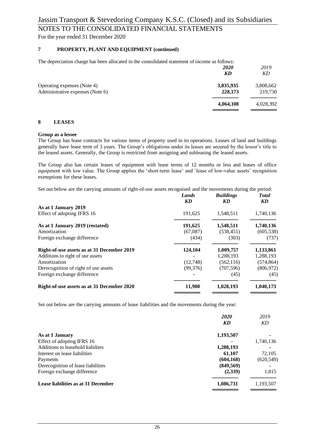For the year ended 31 December 2020

#### **7 PROPERTY, PLANT AND EQUIPMENT (continued)**

The depreciation charge has been allocated in the consolidated statement of income as follows:

|                                  | <b>2020</b> | 2019      |
|----------------------------------|-------------|-----------|
|                                  | KD          | KD        |
| Operating expenses (Note 4)      | 3,835,935   | 3,808,662 |
| Administrative expenses (Note 6) | 228,173     | 219,730   |
|                                  | 4,064,108   | 4,028,392 |
|                                  |             |           |

#### **8 LEASES**

#### **Group as a lessee**

The Group has lease contracts for various items of property used in its operations. Leases of land and buildings generally have lease term of 3 years. The Group's obligations under its leases are secured by the lessor's title to the leased assets. Generally, the Group is restricted from assigning and subleasing the leased assets.

The Group also has certain leases of equipment with lease terms of 12 months or less and leases of office equipment with low value. The Group applies the 'short-term lease' and 'lease of low-value assets' recognition exemptions for these leases.

Set out below are the carrying amounts of right-of-use assets recognised and the movements during the period:

|                                            | Lands<br><b>KD</b> | <b>Buildings</b><br>KD | <b>Total</b><br><b>KD</b> |
|--------------------------------------------|--------------------|------------------------|---------------------------|
| As at 1 January 2019                       |                    |                        |                           |
| Effect of adopting IFRS 16                 | 191,625            | 1,548,511              | 1,740,136                 |
| As at 1 January 2019 (restated)            | 191,625            | 1,548,511              | 1,740,136                 |
| Amortization                               | (67,087)           | (538, 451)             | (605, 538)                |
| Foreign exchange difference                | (434)              | (303)                  | (737)                     |
| Right-of-use assets as at 31 December 2019 | 124,104            | 1,009,757              | 1,133,861                 |
| Additions to right of use assets           |                    | 1,288,193              | 1,288,193                 |
| Amortization                               | (12,748)           | (562, 116)             | (574, 864)                |
| Derecognition of right of use assets       | (99, 376)          | (707, 596)             | (806, 972)                |
| Foreign exchange difference                |                    | (45)                   | (45)                      |
| Right-of-use assets as at 31 December 2020 | 11,980             | 1,028,193              | 1,040,173                 |
|                                            |                    |                        |                           |

Set out below are the carrying amounts of lease liabilities and the movements during the year:

|                                     | 2020<br>KD | 2019<br>KD |
|-------------------------------------|------------|------------|
| As at 1 January                     | 1,193,507  |            |
| Effect of adopting IFRS 16          |            | 1,740,136  |
| Additions to leasehold liabilities  | 1,288,193  |            |
| Interest on lease liabilities       | 61,107     | 72,105     |
| Payments                            | (604, 168) | (620, 549) |
| Derecognition of lease liabilities  | (849, 569) |            |
| Foreign exchange difference         | (2,339)    | 1,815      |
| Lease liabilities as at 31 December | 1,086,731  | 1,193,507  |
|                                     |            |            |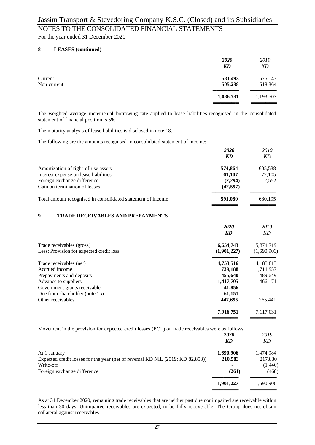## Jassim Transport & Stevedoring Company K.S.C. (Closed) and its Subsidiaries

# NOTES TO THE CONSOLIDATED FINANCIAL STATEMENTS

For the year ended 31 December 2020

#### **8 LEASES (continued)**

|             | <b>2020</b><br>KD | 2019<br>KD |
|-------------|-------------------|------------|
| Current     | 581,493           | 575,143    |
| Non-current | 505,238           | 618,364    |
|             | 1,086,731         | 1,193,507  |
|             |                   |            |

The weighted average incremental borrowing rate applied to lease liabilities recognised in the consolidated statement of financial position is 5%.

The maturity analysis of lease liabilities is disclosed in note 18.

The following are the amounts recognised in consolidated statement of income:

|                                                             | <b>2020</b> | 2019           |
|-------------------------------------------------------------|-------------|----------------|
|                                                             | KD          | KD             |
| Amortization of right-of-use assets                         | 574,864     | 605,538        |
| Interest expense on lease liabilities                       | 61,107      | 72,105         |
| Foreign exchange difference                                 | (2,294)     | 2,552          |
| Gain on termination of leases                               | (42, 597)   | $\blacksquare$ |
| Total amount recognised in consolidated statement of income | 591,080     | 680.195        |
|                                                             |             |                |

#### **9 TRADE RECEIVABLES AND PREPAYMENTS**

|                                          | 2020        | 2019        |
|------------------------------------------|-------------|-------------|
|                                          | <b>KD</b>   | KD          |
| Trade receivables (gross)                | 6,654,743   | 5,874,719   |
| Less: Provision for expected credit loss | (1,901,227) | (1,690,906) |
| Trade receivables (net)                  | 4,753,516   | 4,183,813   |
| Accrued income                           | 739,188     | 1,711,957   |
| Prepayments and deposits                 | 455,640     | 489.649     |
| Advance to suppliers                     | 1,417,705   | 466,171     |
| Government grants receivable             | 41,856      |             |
| Due from shareholder (note 15)           | 61,151      |             |
| Other receivables                        | 447,695     | 265,441     |
|                                          | 7,916,751   | 7.117.031   |

| Movement in the provision for expected credit losses (ECL) on trade receivables were as follows: |             |           |
|--------------------------------------------------------------------------------------------------|-------------|-----------|
|                                                                                                  | <b>2020</b> | 2019      |
|                                                                                                  | KD          | KD        |
| At 1 January                                                                                     | 1,690,906   | 1,474,984 |
| Expected credit losses for the year (net of reversal KD NIL (2019: KD 82,858))                   | 210,583     | 217,830   |
| Write-off                                                                                        | ٠           | (1,440)   |
| Foreign exchange difference                                                                      | (261)       | (468)     |
|                                                                                                  | 1,901,227   | 1,690,906 |
|                                                                                                  |             |           |

══════════<br>══════════════

As at 31 December 2020, remaining trade receivables that are neither past due nor impaired are receivable within less than 30 days. Unimpaired receivables are expected, to be fully recoverable. The Group does not obtain collateral against receivables.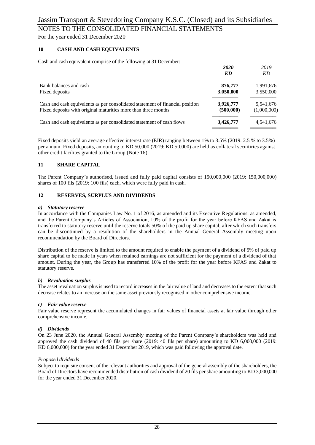For the year ended 31 December 2020

#### **10 CASH AND CASH EQUIVALENTS**

Cash and cash equivalent comprise of the following at 31 December:

|                                                                                                                                                 | 2020<br>KD             | 2019<br>KD               |
|-------------------------------------------------------------------------------------------------------------------------------------------------|------------------------|--------------------------|
| Bank balances and cash                                                                                                                          | 876,777                | 1,991,676                |
| Fixed deposits                                                                                                                                  | 3,050,000              | 3,550,000                |
| Cash and cash equivalents as per consolidated statement of financial position<br>Fixed deposits with original maturities more than three months | 3,926,777<br>(500,000) | 5.541.676<br>(1,000,000) |
| Cash and cash equivalents as per consolidated statement of cash flows                                                                           | 3,426,777              | 4,541,676                |

Fixed deposits yield an average effective interest rate (EIR) ranging between 1% to 3.5% (2019: 2.5 % to 3.5%) per annum. Fixed deposits, amounting to KD 50,000 (2019: KD 50,000) are held as collateral secuitiries against other credit facilites granted to the Group (Note 16).

#### **11 SHARE CAPITAL**

The Parent Company's authorised, issued and fully paid capital consists of 150,000,000 (2019: 150,000,000) shares of 100 fils (2019: 100 fils) each, which were fully paid in cash.

#### **12 RESERVES, SURPLUS AND DIVIDENDS**

#### *a) Statutory reserve*

In accordance with the Companies Law No. 1 of 2016, as amended and its Executive Regulations, as amended, and the Parent Company's Articles of Association, 10% of the profit for the year before KFAS and Zakat is transferred to statutory reserve until the reserve totals 50% of the paid up share capital, after which such transfers can be discontinued by a resolution of the shareholders in the Annual General Assembly meeting upon recommendation by the Board of Directors.

Distribution of the reserve is limited to the amount required to enable the payment of a dividend of 5% of paid up share capital to be made in years when retained earnings are not sufficient for the payment of a dividend of that amount. During the year, the Group has transferred 10% of the profit for the year before KFAS and Zakat to statutory reserve.

#### *b) Revaluation surplus*

The asset revaluation surplus is used to record increases in the fair value of land and decreases to the extent that such decrease relates to an increase on the same asset previously recognised in other comprehensive income.

#### *c) Fair value reserve*

Fair value reserve represent the accumulated changes in fair values of financial assets at fair value through other comprehensive income.

#### *d) Dividends*

On 23 June 2020, the Annual General Assembly meeting of the Parent Company's shareholders was held and approved the cash dividend of 40 fils per share (2019: 40 fils per share) amounting to KD 6,000,000 (2019: KD 6,000,000) for the year ended 31 December 2019, which was paid following the approval date.

#### *Proposed dividends*

Subject to requisite consent of the relevant authorities and approval of the general assembly of the shareholders, the Board of Directors have recommended distribution of cash dividend of 20 fils per share amounting to KD 3,000,000 for the year ended 31 December 2020.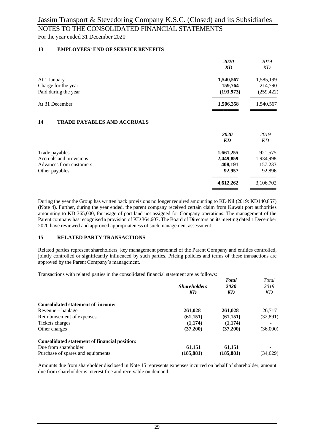For the year ended 31 December 2020

### **13 EMPLOYEES' END OF SERVICE BENEFITS**

|                                          | 2020       | 2019       |
|------------------------------------------|------------|------------|
|                                          | <b>KD</b>  | KD         |
| At 1 January                             | 1,540,567  | 1,585,199  |
| Charge for the year                      | 159,764    | 214,790    |
| Paid during the year                     | (193, 973) | (259, 422) |
| At 31 December                           | 1,506,358  | 1,540,567  |
| 14<br><b>TRADE PAYABLES AND ACCRUALS</b> |            |            |
|                                          | 2020       | 2019       |
|                                          | <b>KD</b>  | KD         |
| Trade payables                           | 1,661,255  | 921,575    |
| Accruals and provisions                  | 2,449,859  | 1,934,998  |
| Advances from customers                  | 408,191    | 157,233    |
| Other payables                           | 92,957     | 92,896     |
|                                          | 4,612,262  | 3,106,702  |
|                                          |            |            |

During the year the Group has written back provisions no longer required amounting to KD Nil (2019: KD140,857) (Note 4). Further, during the year ended, the parent company received certain claim from Kuwait port authorities amounting to KD 365,000, for usage of port land not assigned for Company operations. The management of the Parent company has recognised a provision of KD 364,607. The Board of Directors on its meeting dated 1 December 2020 have reviewed and approved appropriateness of such management assessment.

#### **15 RELATED PARTY TRANSACTIONS**

Related parties represent shareholders, key management personnel of the Parent Company and entities controlled, jointly controlled or significantly influenced by such parties. Pricing policies and terms of these transactions are approved by the Parent Company's management.

Transactions with related parties in the consolidated financial statement are as follows:

|                                               |                     | <b>T</b> otal | Total     |
|-----------------------------------------------|---------------------|---------------|-----------|
|                                               | <b>Shareholders</b> | 2020          | 2019      |
|                                               | KD                  | KD            | KD        |
| <b>Consolidated statement of income:</b>      |                     |               |           |
| Revenue – haulage                             | 261,028             | 261,028       | 26,717    |
| Reimbursement of expenses                     | (61, 151)           | (61,151)      | (32,891)  |
| Tickets charges                               | (1,174)             | (1,174)       |           |
| Other charges                                 | (37,200)            | (37,200)      | (36,000)  |
| Consolidated statement of financial position: |                     |               |           |
| Due from shareholder                          | 61,151              | 61,151        |           |
| Purchase of spares and equipments             | (185, 881)          | (185, 881)    | (34, 629) |

Amounts due from shareholder disclosed in Note 15 represents expenses incurred on behalf of shareholder, amount due from shareholder is interest free and receivable on demand.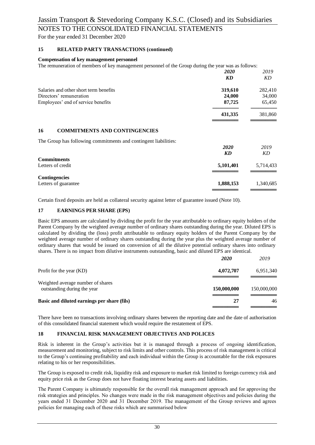For the year ended 31 December 2020

#### **15 RELATED PARTY TRANSACTIONS (continued)**

#### **Compensation of key management personnel**

The remuneration of members of key management personnel of the Group during the year was as follows:

|                                                                 | 2020      | 2019    |
|-----------------------------------------------------------------|-----------|---------|
|                                                                 | <b>KD</b> | KD      |
| Salaries and other short term benefits                          | 319,610   | 282,410 |
| Directors' remuneration                                         | 24,000    | 34,000  |
| Employees' end of service benefits                              | 87,725    | 65,450  |
|                                                                 | 431,335   | 381,860 |
| <b>COMMITMENTS AND CONTINGENCIES</b><br>16                      |           |         |
| The Group has following commitments and contingent liabilities: |           |         |
|                                                                 | 2020      | 2019    |
|                                                                 | T/T       | T/T     |

|                                              | ----<br>KD | KD        |
|----------------------------------------------|------------|-----------|
| <b>Commitments</b><br>Letters of credit      | 5,101,401  | 5,714,433 |
| <b>Contingencies</b><br>Letters of guarantee | 1,888,153  | 1,340,685 |

Certain fixed deposits are held as collateral security against letter of guarantee issued (Note 10).

#### **17 EARNINGS PER SHARE (EPS)**

Basic EPS amounts are calculated by dividing the profit for the year attributable to ordinary equity holders of the Parent Company by the weighted average number of ordinary shares outstanding during the year. Diluted EPS is calculated by dividing the (loss) profit attributable to ordinary equity holders of the Parent Company by the weighted average number of ordinary shares outstanding during the year plus the weighted average number of ordinary shares that would be issued on conversion of all the dilutive potential ordinary shares into ordinary shares. There is no impact from dilutive instruments outstanding, basic and diluted EPS are identical.

|                                                                  | <b>2020</b> | 2019        |
|------------------------------------------------------------------|-------------|-------------|
| Profit for the year (KD)                                         | 4,072,707   | 6,951,340   |
| Weighted average number of shares<br>outstanding during the year | 150,000,000 | 150,000,000 |
| Basic and diluted earnings per share (fils)                      | 27          | 46          |
|                                                                  |             |             |

There have been no transactions involving ordinary shares between the reporting date and the date of authorisation of this consolidated financial statement which would require the restatement of EPS.

#### **18 FINANCIAL RISK MANAGEMENT OBJECTIVES AND POLICES**

Risk is inherent in the Group's activities but it is managed through a process of ongoing identification, measurement and monitoring, subject to risk limits and other controls. This process of risk management is critical to the Group's continuing profitability and each individual within the Group is accountable for the risk exposures relating to his or her responsibilities.

The Group is exposed to credit risk, liquidity risk and exposure to market risk limited to foreign currency risk and equity price risk as the Group does not have floating interest bearing assets and liabilities.

The Parent Company is ultimately responsible for the overall risk management approach and for approving the risk strategies and principles. No changes were made in the risk management objectives and policies during the years ended 31 December 2020 and 31 December 2019. The management of the Group reviews and agrees policies for managing each of these risks which are summarised below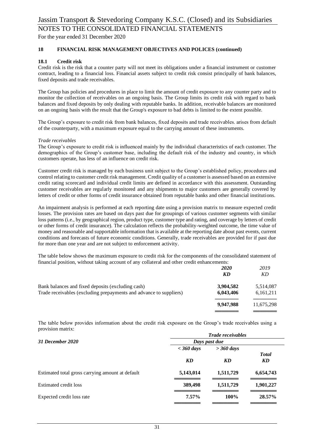For the year ended 31 December 2020

#### **18 FINANCIAL RISK MANAGEMENT OBJECTIVES AND POLICES (continued)**

#### **18.1 Credit risk**

Credit risk is the risk that a counter party will not meet its obligations under a financial instrument or customer contract, leading to a financial loss. Financial assets subject to credit risk consist principally of bank balances, fixed deposits and trade receivables.

The Group has policies and procedures in place to limit the amount of credit exposure to any counter party and to monitor the collection of receivables on an ongoing basis. The Group limits its credit risk with regard to bank balances and fixed deposits by only dealing with reputable banks. In addition, receivable balances are monitored on an ongoing basis with the result that the Group's exposure to bad debts is limited to the extent possible.

The Group's exposure to credit risk from bank balances, fixed deposits and trade receivables. arises from default of the counterparty, with a maximum exposure equal to the carrying amount of these instruments.

#### *Trade receivables*

The Group's exposure to credit risk is influenced mainly by the individual characteristics of each customer. The demographics of the Group's customer base, including the default risk of the industry and country, in which customers operate, has less of an influence on credit risk.

Customer credit risk is managed by each business unit subject to the Group's established policy, procedures and control relating to customer credit risk management. Credit quality of a customer is assessed based on an extensive credit rating scorecard and individual credit limits are defined in accordance with this assessment. Outstanding customer receivables are regularly monitored and any shipments to major customers are generally covered by letters of credit or other forms of credit insurance obtained from reputable banks and other financial institutions.

An impairment analysis is performed at each reporting date using a provision matrix to measure expected credit losses. The provision rates are based on days past due for groupings of various customer segments with similar loss patterns (i.e., by geographical region, product type, customer type and rating, and coverage by letters of credit or other forms of credit insurance). The calculation reflects the probability-weighted outcome, the time value of money and reasonable and supportable information that is available at the reporting date about past events, current conditions and forecasts of future economic conditions. Generally, trade receivables are provided for if past due for more than one year and are not subject to enforcement activity.

The table below shows the maximum exposure to credit risk for the components of the consolidated statement of financial position, without taking account of any collateral and other credit enhancements:

|                                                                    | <b>2020</b><br>KD | 2019<br>KD |
|--------------------------------------------------------------------|-------------------|------------|
| Bank balances and fixed deposits (excluding cash)                  | 3,904,582         | 5,514,087  |
| Trade receivables (excluding prepayments and advance to suppliers) | 6,043,406         | 6,161,211  |
|                                                                    | 9,947,988         | 11,675,298 |
|                                                                    |                   |            |

The table below provides information about the credit risk exposure on the Group's trade receivables using a provision matrix:

| Trade receivables |              |                     |
|-------------------|--------------|---------------------|
| Days past due     |              |                     |
| $<$ 360 days      | $>$ 360 days |                     |
| <b>KD</b>         | KD           | <b>T</b> otal<br>KD |
| 5,143,014         | 1,511,729    | 6,654,743           |
| 389,498           | 1,511,729    | 1,901,227           |
| $7.57\%$          | 100%         | 28.57%              |
|                   |              |                     |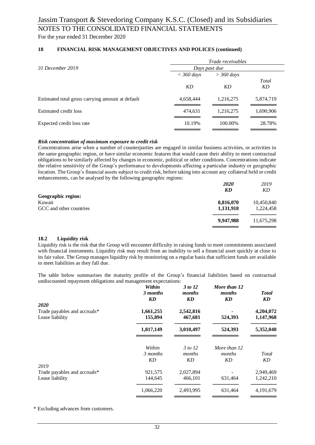For the year ended 31 December 2020

#### **18 FINANCIAL RISK MANAGEMENT OBJECTIVES AND POLICES (continued)**

|                                                  | <i>Trade receivables</i> |              |             |
|--------------------------------------------------|--------------------------|--------------|-------------|
| 31 December 2019                                 | Days past due            |              |             |
|                                                  | $<$ 360 days             | $>$ 360 days |             |
|                                                  | KD                       | KD           | Total<br>KD |
| Estimated total gross carrying amount at default | 4,658,444                | 1,216,275    | 5,874,719   |
| Estimated credit loss                            | 474,631                  | 1,216,275    | 1,690,906   |
| Expected credit loss rate                        | 10.19%                   | 100.00%      | 28.78%      |

#### *Risk concentration of maximum exposure to credit risk*

Concentrations arise when a number of counterparties are engaged in similar business activities, or activities in the same geographic region, or have similar economic features that would cause their ability to meet contractual obligations to be similarly affected by changes in economic, political or other conditions. Concentrations indicate the relative sensitivity of the Group's performance to developments affecting a particular industry or geographic location. The Group's financial assets subject to credit risk, before taking into account any collateral held or credit enhancements, can be analysed by the following geographic regions:

|                         | <b>2020</b> | 2019       |
|-------------------------|-------------|------------|
|                         | KD          | KD         |
| Geographic region:      |             |            |
| Kuwait                  | 8,816,070   | 10,450,840 |
| GCC and other countries | 1,131,918   | 1,224,458  |
|                         | 9,947,988   | 11,675,298 |
|                         |             |            |

#### **18.2 Liquidity risk**

Liquidity risk is the risk that the Group will encounter difficulty in raising funds to meet commitments associated with financial instruments. Liquidity risk may result from an inability to sell a financial asset quickly at close to its fair value. The Group manages liquidity risk by monitoring on a regular basis that sufficient funds are available to meet liabilities as they fall due.

The table below summarises the maturity profile of the Group's financial liabilities based on contractual undiscounted repayment obligations and management expectations:

|                                                         | Within<br>3 months<br>KD | 3 to 12<br>months<br>KD | More than 12<br>months<br><b>KD</b> | <b>Total</b><br><b>KD</b> |
|---------------------------------------------------------|--------------------------|-------------------------|-------------------------------------|---------------------------|
| 2020<br>Trade payables and accruals*<br>Lease liability | 1,661,255<br>155,894     | 2,542,816<br>467,681    | 524,393                             | 4,204,072<br>1,147,968    |
|                                                         | 1,817,149                | 3,010,497               | 524,393                             | 5,352,040                 |
|                                                         | Within<br>3 months<br>KD | 3 to 12<br>months<br>KD | More than 12<br>months<br>KD        | Total<br>KD               |
| 2019<br>Trade payables and accruals*<br>Lease liability | 921,575<br>144,645       | 2,027,894<br>466,101    | 631,464                             | 2,949,469<br>1,242,210    |
|                                                         | 1,066,220                | 2,493,995               | 631,464                             | 4,191,679                 |

\* Excluding advances from customers.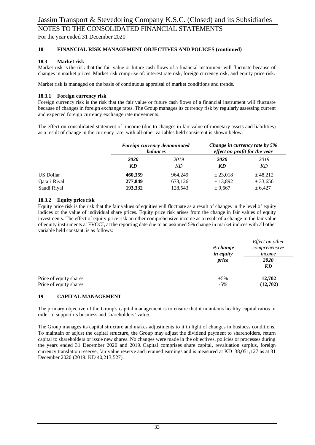For the year ended 31 December 2020

#### **18 FINANCIAL RISK MANAGEMENT OBJECTIVES AND POLICES (continued)**

#### **18.3 Market risk**

Market risk is the risk that the fair value or future cash flows of a financial instrument will fluctuate because of changes in market prices. Market risk comprise of: interest rate risk, foreign currency risk, and equity price risk.

Market risk is managed on the basis of continuous appraisal of market conditions and trends.

#### **18.3.1 Foreign currency risk**

Foreign currency risk is the risk that the fair value or future cash flows of a financial instrument will fluctuate because of changes in foreign exchange rates. The Group manages its currency risk by regularly assessing current and expected foreign currency exchange rate movements.

The effect on consolidated statement of income (due to changes in fair value of monetary assets and liabilities) as a result of change in the currency rate, with all other variables held consistent is shown below:

|              |             | Foreign currency denominated<br>balances |             | Change in currency rate by 5%<br>effect on profit for the year |
|--------------|-------------|------------------------------------------|-------------|----------------------------------------------------------------|
|              | <b>2020</b> | 2019                                     | <b>2020</b> | 2019                                                           |
|              | KD          | ΚD                                       | KD          | KD                                                             |
| US Dollar    | 460.359     | 964.249                                  | ± 23.018    | ± 48.212                                                       |
| Qatari Riyal | 277,849     | 673,126                                  | ± 13,892    | ± 33,656                                                       |
| Saudi Riyal  | 193,332     | 128,543                                  | ± 9,667     | ± 6,427                                                        |

#### **18.3.2 Equity price risk**

Equity price risk is the risk that the fair values of equities will fluctuate as a result of changes in the level of equity indices or the value of individual share prices. Equity price risk arises from the change in fair values of equity investments. The effect of equity price risk on other comprehensive income as a result of a change in the fair value of equity instruments at FVOCI, at the reporting date due to an assumed 5% change in market indices with all other variable held constant, is as follows:

|                        | % change<br>in equity<br>price | Effect on other<br>comprehensive<br>income<br><b>2020</b><br>KD |
|------------------------|--------------------------------|-----------------------------------------------------------------|
| Price of equity shares | $+5%$                          | 12,702                                                          |
| Price of equity shares | $-5%$                          | (12,702)                                                        |

#### **19 CAPITAL MANAGEMENT**

The primary objective of the Group's capital management is to ensure that it maintains healthy capital ratios in order to support its business and shareholders' value.

The Group manages its capital structure and makes adjustments to it in light of changes in business conditions. To maintain or adjust the capital structure, the Group may adjust the dividend payment to shareholders, return capital to shareholders or issue new shares. No changes were made in the objectives, policies or processes during the years ended 31 December 2020 and 2019. Capital comprises share capital, revaluation surplus, foreign currency translation reserve, fair value reserve and retained earnings and is measured at KD 38,051,127 as at 31 December 2020 (2019: KD 40,213,527).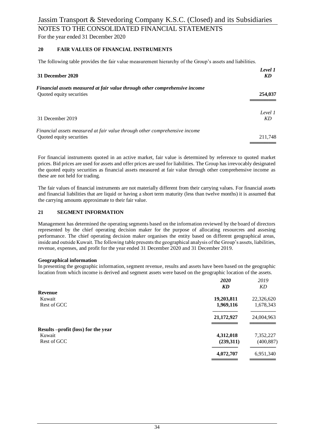For the year ended 31 December 2020

#### **20 FAIR VALUES OF FINANCIAL INSTRUMENTS**

The following table provides the fair value measurement hierarchy of the Group's assets and liabilities.

| 31 December 2020                                                                                       | Level 1<br>KD |
|--------------------------------------------------------------------------------------------------------|---------------|
| Financial assets measured at fair value through other comprehensive income<br>Quoted equity securities | 254,037       |
| 31 December 2019                                                                                       | Level 1<br>KD |
| Financial assets measured at fair value through other comprehensive income<br>Quoted equity securities | 211,748       |

For financial instruments quoted in an active market, fair value is determined by reference to quoted market prices. Bid prices are used for assets and offer prices are used for liabilities. The Group has irrevocably designated the quoted equity securities as financial assets measured at fair value through other comprehensive income as these are not held for trading.

The fair values of financial instruments are not materially different from their carrying values. For financial assets and financial liabilities that are liquid or having a short term maturity (less than twelve months) it is assumed that the carrying amounts approximate to their fair value.

#### **21 SEGMENT INFORMATION**

Management has determined the operating segments based on the information reviewed by the board of directors represented by the chief operating decision maker for the purpose of allocating resourcres and assesing performance. The chief operating decision maker organises the entity based on different geographical areas, inside and outside Kuwait. The following table presents the geographical analysis of the Group's assets, liabilities, revenue, expenses, and profit for the year ended 31 December 2020 and 31 December 2019.

#### **Geographical information**

In presenting the geographic information, segment revenue, results and assets have been based on the geographic location from which income is derived and segment assets were based on the geographic location of the assets.

|                                    | 2020       | 2019       |
|------------------------------------|------------|------------|
|                                    | <b>KD</b>  | KD         |
| <b>Revenue</b>                     |            |            |
| Kuwait                             | 19,203,811 | 22,326,620 |
| Rest of GCC                        | 1,969,116  | 1,678,343  |
|                                    | 21,172,927 | 24,004,963 |
| Results-profit (loss) for the year |            |            |
| Kuwait                             | 4,312,018  | 7,352,227  |
| Rest of GCC                        | (239,311)  | (400, 887) |
|                                    | 4,072,707  | 6,951,340  |
|                                    |            |            |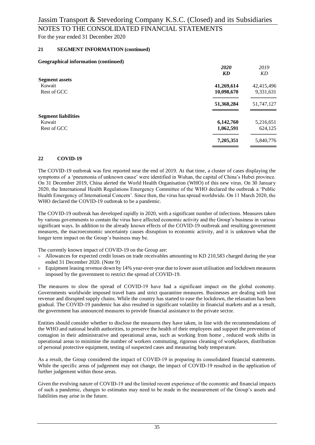For the year ended 31 December 2020

#### **21 SEGMENT INFORMATION (continued)**

| <b>Geographical information (continued)</b> |            |            |
|---------------------------------------------|------------|------------|
|                                             | 2020       | 2019       |
|                                             | KD         | KD         |
| <b>Segment assets</b>                       |            |            |
| Kuwait                                      | 41,269,614 | 42,415,496 |
| Rest of GCC                                 | 10,098,670 | 9,331,631  |
|                                             | 51,368,284 | 51,747,127 |
| <b>Segment liabilities</b>                  |            |            |
| Kuwait                                      | 6,142,760  | 5,216,651  |
| Rest of GCC                                 | 1,062,591  | 624,125    |
|                                             | 7,205,351  | 5,840,776  |
|                                             |            |            |

#### **22 COVID-19**

The COVID-19 outbreak was first reported near the end of 2019. At that time, a cluster of cases displaying the symptoms of a 'pneumonia of unknown cause' were identified in Wuhan, the capital of China's Hubei province. On 31 December 2019, China alerted the World Health Organisation (WHO) of this new virus. On 30 January 2020, the International Health Regulations Emergency Committee of the WHO declared the outbreak a 'Public Health Emergency of International Concern'. Since then, the virus has spread worldwide. On 11 March 2020, the WHO declared the COVID-19 outbreak to be a pandemic.

The COVID-19 outbreak has developed rapidly in 2020, with a significant number of infections. Measures taken by various governments to contain the virus have affected economic activity and the Group's business in various significant ways. In addition to the already known effects of the COVID-19 outbreak and resulting government measures, the macroeconomic uncertainty causes disruption to economic activity, and it is unknown what the longer term impact on the Group's business may be.

The currently known impact of COVID-19 on the Group are:

- $\blacktriangleright$  Allowances for expected credit losses on trade receivables amounting to KD 210,583 charged during the year ended 31 December 2020. (Note 9)
- $\triangleright$  Equipment leasing revenue down by 14% year-over-year due to lower asset utilisation and lockdown measures imposed by the government to restrict the spread of COVID-19.

The measures to slow the spread of COVID-19 have had a significant impact on the global economy. Governments worldwide imposed travel bans and strict quarantine measures. Businesses are dealing with lost revenue and disrupted supply chains. While the country has started to ease the lockdown, the relaxation has been gradual. The COVID-19 pandemic has also resulted in significant volatility in financial markets and as a result, the government has announced measures to provide financial assistance to the private sector.

Entities should consider whether to disclose the measures they have taken, in line with the recommendations of the WHO and national health authorities, to preserve the health of their employees and support the prevention of contagion in their administrative and operational areas, such as working from home , reduced work shifts in operational areas to minimise the number of workers commuting, rigorous cleaning of workplaces, distribution of personal protective equipment, testing of suspected cases and measuring body temperature.

As a result, the Group considered the impact of COVID-19 in preparing its consolidated financial statements. While the specific areas of judgement may not change, the impact of COVID-19 resulted in the application of further judgement within those areas.

Given the evolving nature of COVID-19 and the limited recent experience of the economic and financial impacts of such a pandemic, changes to estimates may need to be made in the measurement of the Group's assets and liabilities may arise in the future.